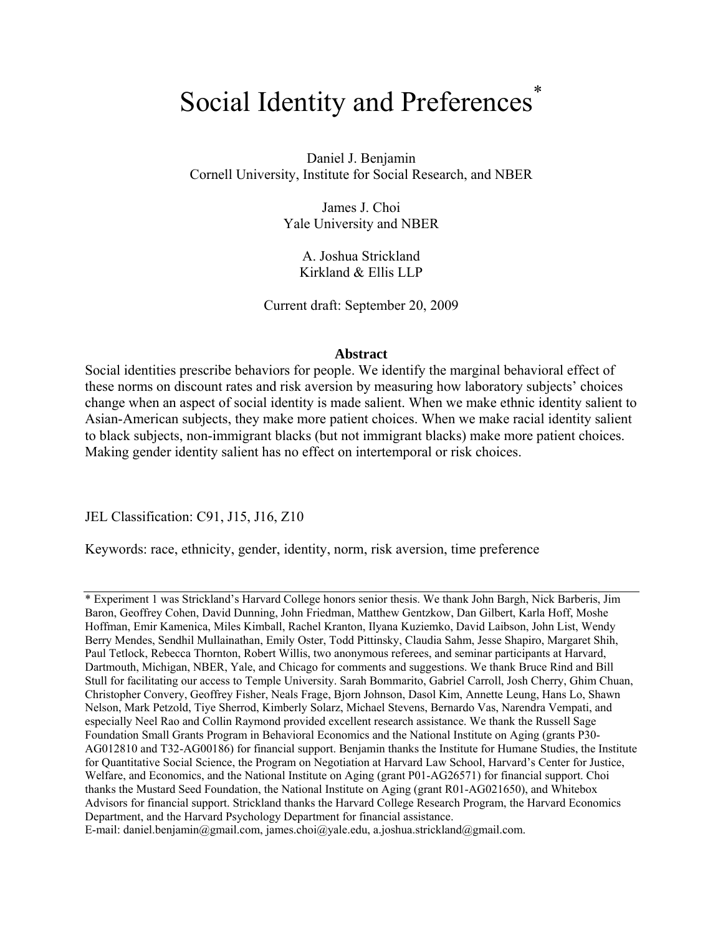# Social Identity and Preferences<sup>\*</sup>

Daniel J. Benjamin Cornell University, Institute for Social Research, and NBER

> James J. Choi Yale University and NBER

A. Joshua Strickland Kirkland & Ellis LLP

Current draft: September 20, 2009

## **Abstract**

Social identities prescribe behaviors for people. We identify the marginal behavioral effect of these norms on discount rates and risk aversion by measuring how laboratory subjects' choices change when an aspect of social identity is made salient. When we make ethnic identity salient to Asian-American subjects, they make more patient choices. When we make racial identity salient to black subjects, non-immigrant blacks (but not immigrant blacks) make more patient choices. Making gender identity salient has no effect on intertemporal or risk choices.

JEL Classification: C91, J15, J16, Z10

Keywords: race, ethnicity, gender, identity, norm, risk aversion, time preference

<sup>\*</sup> Experiment 1 was Strickland's Harvard College honors senior thesis. We thank John Bargh, Nick Barberis, Jim Baron, Geoffrey Cohen, David Dunning, John Friedman, Matthew Gentzkow, Dan Gilbert, Karla Hoff, Moshe Hoffman, Emir Kamenica, Miles Kimball, Rachel Kranton, Ilyana Kuziemko, David Laibson, John List, Wendy Berry Mendes, Sendhil Mullainathan, Emily Oster, Todd Pittinsky, Claudia Sahm, Jesse Shapiro, Margaret Shih, Paul Tetlock, Rebecca Thornton, Robert Willis, two anonymous referees, and seminar participants at Harvard, Dartmouth, Michigan, NBER, Yale, and Chicago for comments and suggestions. We thank Bruce Rind and Bill Stull for facilitating our access to Temple University. Sarah Bommarito, Gabriel Carroll, Josh Cherry, Ghim Chuan, Christopher Convery, Geoffrey Fisher, Neals Frage, Bjorn Johnson, Dasol Kim, Annette Leung, Hans Lo, Shawn Nelson, Mark Petzold, Tiye Sherrod, Kimberly Solarz, Michael Stevens, Bernardo Vas, Narendra Vempati, and especially Neel Rao and Collin Raymond provided excellent research assistance. We thank the Russell Sage Foundation Small Grants Program in Behavioral Economics and the National Institute on Aging (grants P30- AG012810 and T32-AG00186) for financial support. Benjamin thanks the Institute for Humane Studies, the Institute for Quantitative Social Science, the Program on Negotiation at Harvard Law School, Harvard's Center for Justice, Welfare, and Economics, and the National Institute on Aging (grant P01-AG26571) for financial support. Choi thanks the Mustard Seed Foundation, the National Institute on Aging (grant R01-AG021650), and Whitebox Advisors for financial support. Strickland thanks the Harvard College Research Program, the Harvard Economics Department, and the Harvard Psychology Department for financial assistance.

E-mail: daniel.benjamin@gmail.com, james.choi@yale.edu, a.joshua.strickland@gmail.com.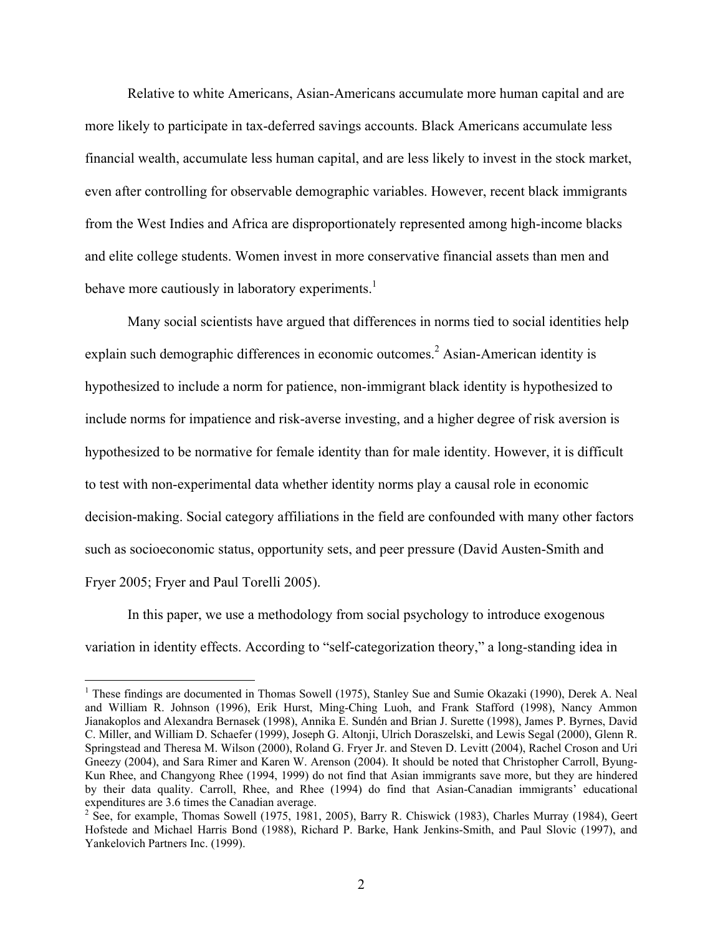Relative to white Americans, Asian-Americans accumulate more human capital and are more likely to participate in tax-deferred savings accounts. Black Americans accumulate less financial wealth, accumulate less human capital, and are less likely to invest in the stock market, even after controlling for observable demographic variables. However, recent black immigrants from the West Indies and Africa are disproportionately represented among high-income blacks and elite college students. Women invest in more conservative financial assets than men and behave more cautiously in laboratory experiments.<sup>1</sup>

Many social scientists have argued that differences in norms tied to social identities help explain such demographic differences in economic outcomes.<sup>2</sup> Asian-American identity is hypothesized to include a norm for patience, non-immigrant black identity is hypothesized to include norms for impatience and risk-averse investing, and a higher degree of risk aversion is hypothesized to be normative for female identity than for male identity. However, it is difficult to test with non-experimental data whether identity norms play a causal role in economic decision-making. Social category affiliations in the field are confounded with many other factors such as socioeconomic status, opportunity sets, and peer pressure (David Austen-Smith and Fryer 2005; Fryer and Paul Torelli 2005).

In this paper, we use a methodology from social psychology to introduce exogenous variation in identity effects. According to "self-categorization theory," a long-standing idea in

<sup>&</sup>lt;sup>1</sup> These findings are documented in Thomas Sowell (1975), Stanley Sue and Sumie Okazaki (1990), Derek A. Neal and William R. Johnson (1996), Erik Hurst, Ming-Ching Luoh, and Frank Stafford (1998), Nancy Ammon Jianakoplos and Alexandra Bernasek (1998), Annika E. Sundén and Brian J. Surette (1998), James P. Byrnes, David C. Miller, and William D. Schaefer (1999), Joseph G. Altonji, Ulrich Doraszelski, and Lewis Segal (2000), Glenn R. Springstead and Theresa M. Wilson (2000), Roland G. Fryer Jr. and Steven D. Levitt (2004), Rachel Croson and Uri Gneezy (2004), and Sara Rimer and Karen W. Arenson (2004). It should be noted that Christopher Carroll, Byung-Kun Rhee, and Changyong Rhee (1994, 1999) do not find that Asian immigrants save more, but they are hindered by their data quality. Carroll, Rhee, and Rhee (1994) do find that Asian-Canadian immigrants' educational expenditures are 3.6 times the Canadian average.

 $2^{2}$  See, for example, Thomas Sowell (1975, 1981, 2005), Barry R. Chiswick (1983), Charles Murray (1984), Geert Hofstede and Michael Harris Bond (1988), Richard P. Barke, Hank Jenkins-Smith, and Paul Slovic (1997), and Yankelovich Partners Inc. (1999).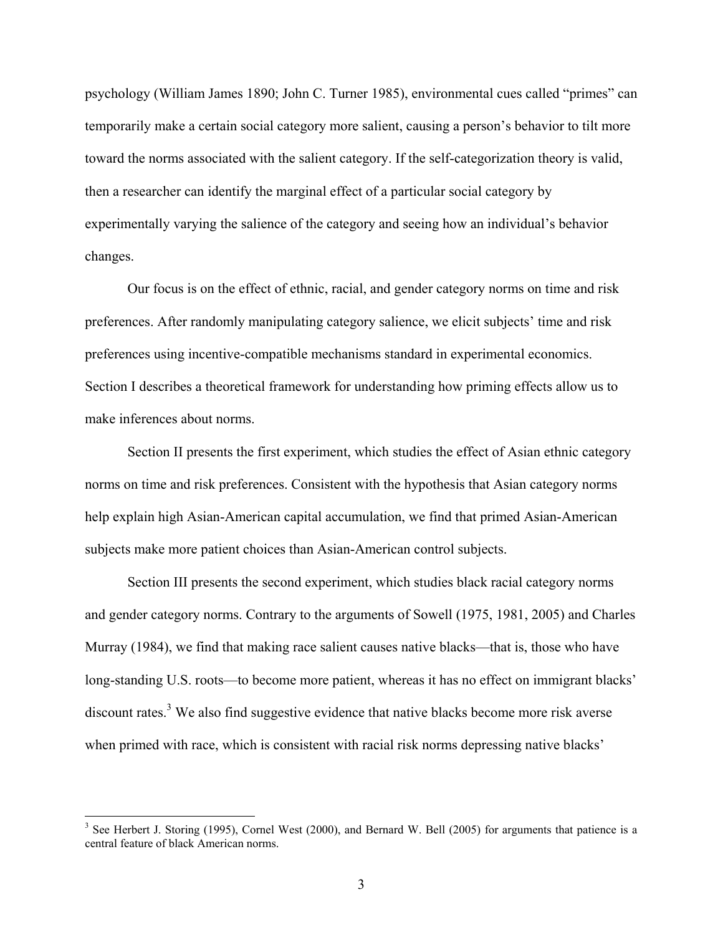psychology (William James 1890; John C. Turner 1985), environmental cues called "primes" can temporarily make a certain social category more salient, causing a person's behavior to tilt more toward the norms associated with the salient category. If the self-categorization theory is valid, then a researcher can identify the marginal effect of a particular social category by experimentally varying the salience of the category and seeing how an individual's behavior changes.

Our focus is on the effect of ethnic, racial, and gender category norms on time and risk preferences. After randomly manipulating category salience, we elicit subjects' time and risk preferences using incentive-compatible mechanisms standard in experimental economics. Section I describes a theoretical framework for understanding how priming effects allow us to make inferences about norms.

Section II presents the first experiment, which studies the effect of Asian ethnic category norms on time and risk preferences. Consistent with the hypothesis that Asian category norms help explain high Asian-American capital accumulation, we find that primed Asian-American subjects make more patient choices than Asian-American control subjects.

Section III presents the second experiment, which studies black racial category norms and gender category norms. Contrary to the arguments of Sowell (1975, 1981, 2005) and Charles Murray (1984), we find that making race salient causes native blacks—that is, those who have long-standing U.S. roots—to become more patient, whereas it has no effect on immigrant blacks' discount rates.<sup>3</sup> We also find suggestive evidence that native blacks become more risk averse when primed with race, which is consistent with racial risk norms depressing native blacks'

 $3$  See Herbert J. Storing (1995), Cornel West (2000), and Bernard W. Bell (2005) for arguments that patience is a central feature of black American norms.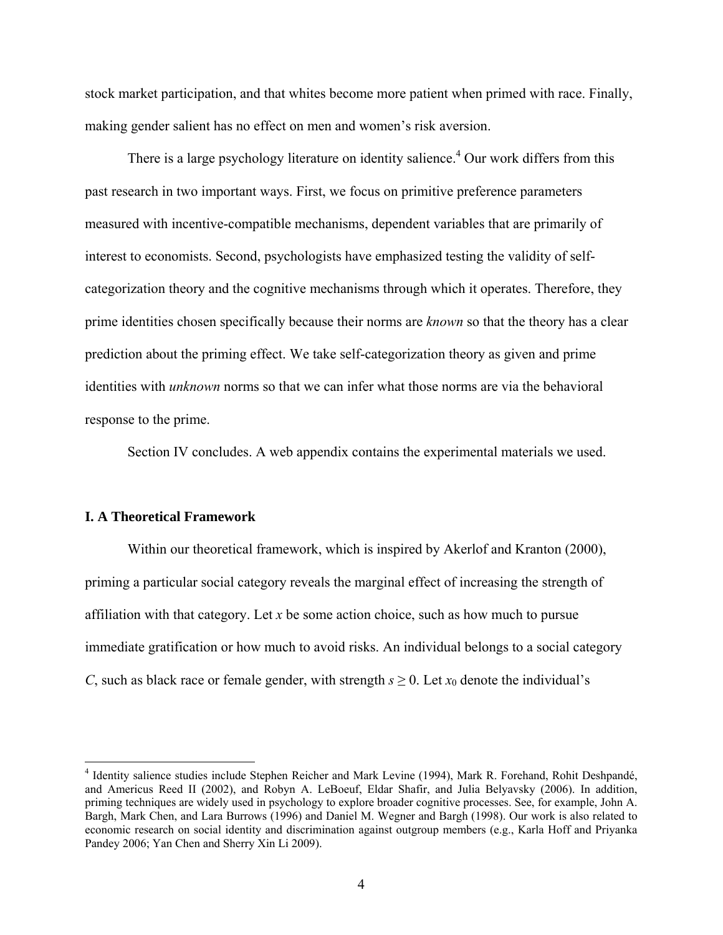stock market participation, and that whites become more patient when primed with race. Finally, making gender salient has no effect on men and women's risk aversion.

There is a large psychology literature on identity salience.<sup>4</sup> Our work differs from this past research in two important ways. First, we focus on primitive preference parameters measured with incentive-compatible mechanisms, dependent variables that are primarily of interest to economists. Second, psychologists have emphasized testing the validity of selfcategorization theory and the cognitive mechanisms through which it operates. Therefore, they prime identities chosen specifically because their norms are *known* so that the theory has a clear prediction about the priming effect. We take self-categorization theory as given and prime identities with *unknown* norms so that we can infer what those norms are via the behavioral response to the prime.

Section IV concludes. A web appendix contains the experimental materials we used.

#### **I. A Theoretical Framework**

1

Within our theoretical framework, which is inspired by Akerlof and Kranton (2000), priming a particular social category reveals the marginal effect of increasing the strength of affiliation with that category. Let *x* be some action choice, such as how much to pursue immediate gratification or how much to avoid risks. An individual belongs to a social category *C*, such as black race or female gender, with strength  $s \ge 0$ . Let  $x_0$  denote the individual's

<sup>&</sup>lt;sup>4</sup> Identity salience studies include Stephen Reicher and Mark Levine (1994), Mark R. Forehand, Rohit Deshpandé, and Americus Reed II (2002), and Robyn A. LeBoeuf, Eldar Shafir, and Julia Belyavsky (2006). In addition, priming techniques are widely used in psychology to explore broader cognitive processes. See, for example, John A. Bargh, Mark Chen, and Lara Burrows (1996) and Daniel M. Wegner and Bargh (1998). Our work is also related to economic research on social identity and discrimination against outgroup members (e.g., Karla Hoff and Priyanka Pandey 2006; Yan Chen and Sherry Xin Li 2009).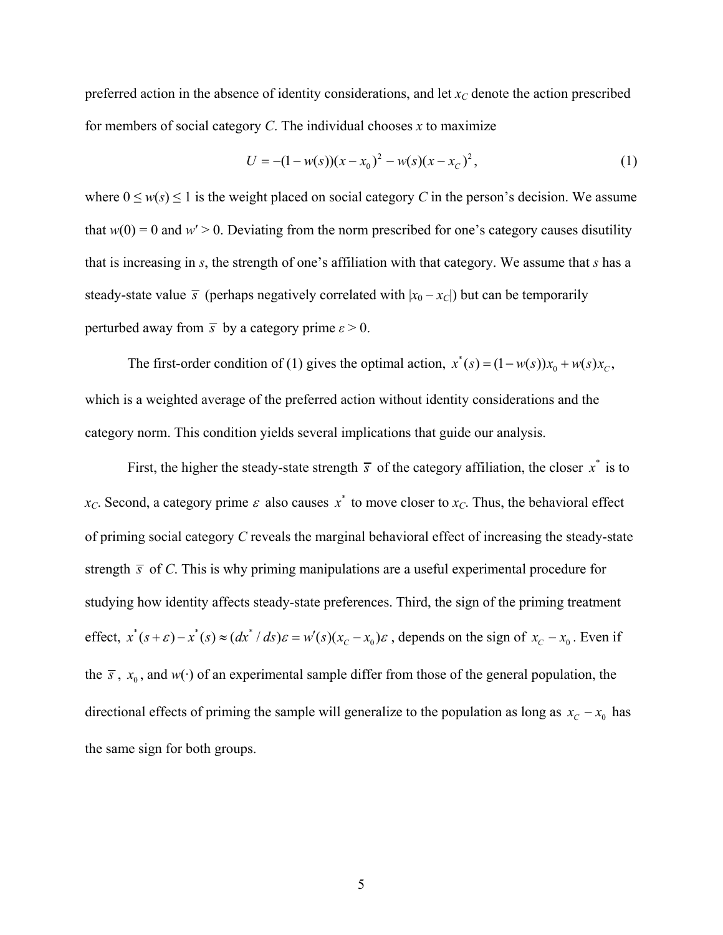preferred action in the absence of identity considerations, and let  $x_C$  denote the action prescribed for members of social category *C*. The individual chooses *x* to maximize

$$
U = -(1 - w(s))(x - x_0)^2 - w(s)(x - x_c)^2, \tag{1}
$$

where  $0 \le w(s) \le 1$  is the weight placed on social category C in the person's decision. We assume that  $w(0) = 0$  and  $w' > 0$ . Deviating from the norm prescribed for one's category causes disutility that is increasing in *s*, the strength of one's affiliation with that category. We assume that *s* has a steady-state value  $\bar{s}$  (perhaps negatively correlated with  $|x_0 - x_C|$ ) but can be temporarily perturbed away from  $\bar{s}$  by a category prime  $\varepsilon > 0$ .

The first-order condition of (1) gives the optimal action,  $x^*(s) = (1 - w(s))x_0 + w(s)x_c$ , which is a weighted average of the preferred action without identity considerations and the category norm. This condition yields several implications that guide our analysis.

First, the higher the steady-state strength  $\bar{s}$  of the category affiliation, the closer  $x^*$  is to *x<sub>C</sub>*. Second, a category prime  $\varepsilon$  also causes  $x^*$  to move closer to  $x_C$ . Thus, the behavioral effect of priming social category *C* reveals the marginal behavioral effect of increasing the steady-state strength  $\bar{s}$  of *C*. This is why priming manipulations are a useful experimental procedure for studying how identity affects steady-state preferences. Third, the sign of the priming treatment effect,  $x^*(s+\varepsilon) - x^*(s) \approx (dx^* / ds)\varepsilon = w'(s)(x_c - x_0)\varepsilon$ , depends on the sign of  $x_c - x_0$ . Even if the  $\bar{s}$ ,  $x_0$ , and  $w(\cdot)$  of an experimental sample differ from those of the general population, the directional effects of priming the sample will generalize to the population as long as  $x_c - x_0$  has the same sign for both groups.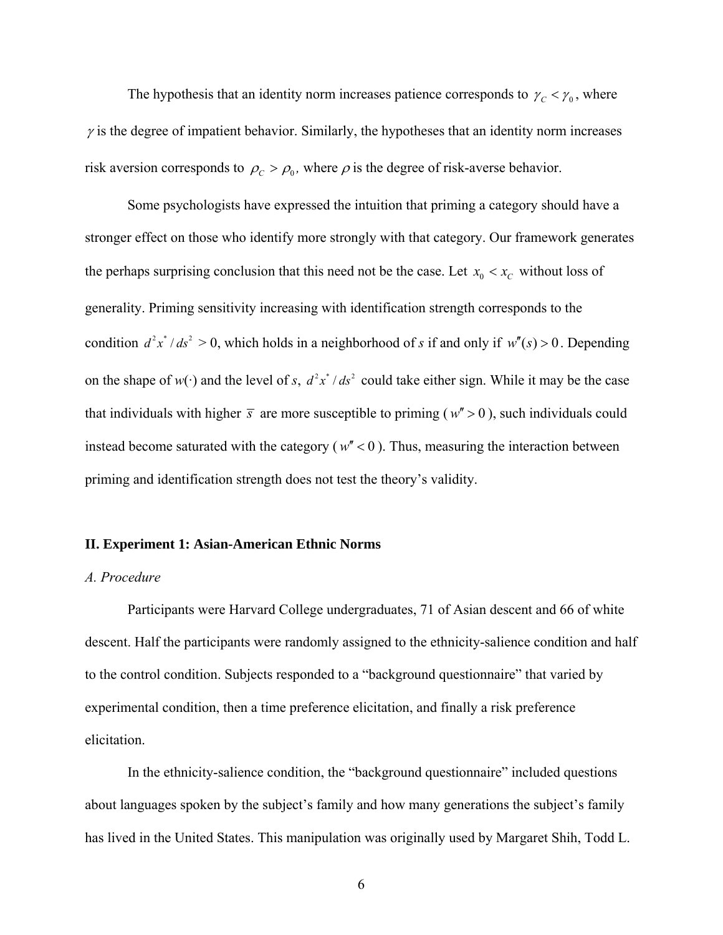The hypothesis that an identity norm increases patience corresponds to  $\gamma_c < \gamma_0$ , where  $\gamma$  is the degree of impatient behavior. Similarly, the hypotheses that an identity norm increases risk aversion corresponds to  $\rho_c > \rho_0$ , where  $\rho$  is the degree of risk-averse behavior.

Some psychologists have expressed the intuition that priming a category should have a stronger effect on those who identify more strongly with that category. Our framework generates the perhaps surprising conclusion that this need not be the case. Let  $x_0 < x_c$  without loss of generality. Priming sensitivity increasing with identification strength corresponds to the condition  $d^2x^* / ds^2 > 0$ , which holds in a neighborhood of *s* if and only if  $w''(s) > 0$ . Depending on the shape of  $w(\cdot)$  and the level of *s*,  $d^2x^* / ds^2$  could take either sign. While it may be the case that individuals with higher  $\bar{s}$  are more susceptible to priming ( $w'' > 0$ ), such individuals could instead become saturated with the category ( $w''$  < 0). Thus, measuring the interaction between priming and identification strength does not test the theory's validity.

## **II. Experiment 1: Asian-American Ethnic Norms**

## *A. Procedure*

Participants were Harvard College undergraduates, 71 of Asian descent and 66 of white descent. Half the participants were randomly assigned to the ethnicity-salience condition and half to the control condition. Subjects responded to a "background questionnaire" that varied by experimental condition, then a time preference elicitation, and finally a risk preference elicitation.

In the ethnicity-salience condition, the "background questionnaire" included questions about languages spoken by the subject's family and how many generations the subject's family has lived in the United States. This manipulation was originally used by Margaret Shih, Todd L.

6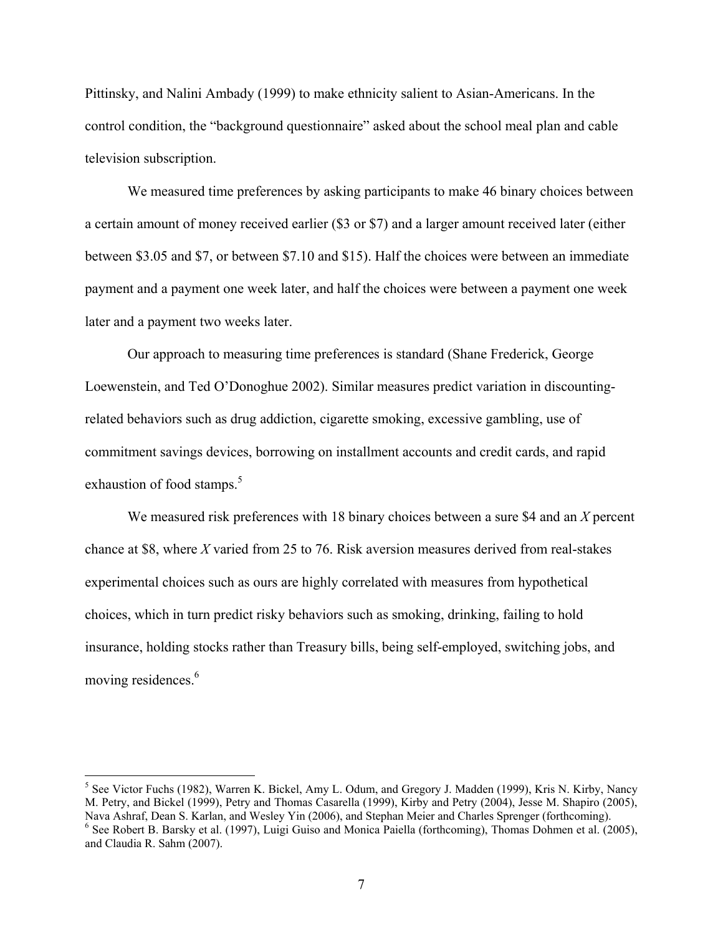Pittinsky, and Nalini Ambady (1999) to make ethnicity salient to Asian-Americans. In the control condition, the "background questionnaire" asked about the school meal plan and cable television subscription.

We measured time preferences by asking participants to make 46 binary choices between a certain amount of money received earlier (\$3 or \$7) and a larger amount received later (either between \$3.05 and \$7, or between \$7.10 and \$15). Half the choices were between an immediate payment and a payment one week later, and half the choices were between a payment one week later and a payment two weeks later.

 Our approach to measuring time preferences is standard (Shane Frederick, George Loewenstein, and Ted O'Donoghue 2002). Similar measures predict variation in discountingrelated behaviors such as drug addiction, cigarette smoking, excessive gambling, use of commitment savings devices, borrowing on installment accounts and credit cards, and rapid exhaustion of food stamps.<sup>5</sup>

We measured risk preferences with 18 binary choices between a sure \$4 and an *X* percent chance at \$8, where *X* varied from 25 to 76. Risk aversion measures derived from real-stakes experimental choices such as ours are highly correlated with measures from hypothetical choices, which in turn predict risky behaviors such as smoking, drinking, failing to hold insurance, holding stocks rather than Treasury bills, being self-employed, switching jobs, and moving residences.<sup>6</sup>

<sup>&</sup>lt;sup>5</sup> See Victor Fuchs (1982), Warren K. Bickel, Amy L. Odum, and Gregory J. Madden (1999), Kris N. Kirby, Nancy M. Petry, and Bickel (1999), Petry and Thomas Casarella (1999), Kirby and Petry (2004), Jesse M. Shapiro (2005), Nava Ashraf, Dean S. Karlan, and Wesley Yin (2006), and Stephan Meier and Charles Sprenger (forthcoming). 6  $6$  See Robert B. Barsky et al. (1997), Luigi Guiso and Monica Paiella (forthcoming), Thomas Dohmen et al. (2005), and Claudia R. Sahm (2007).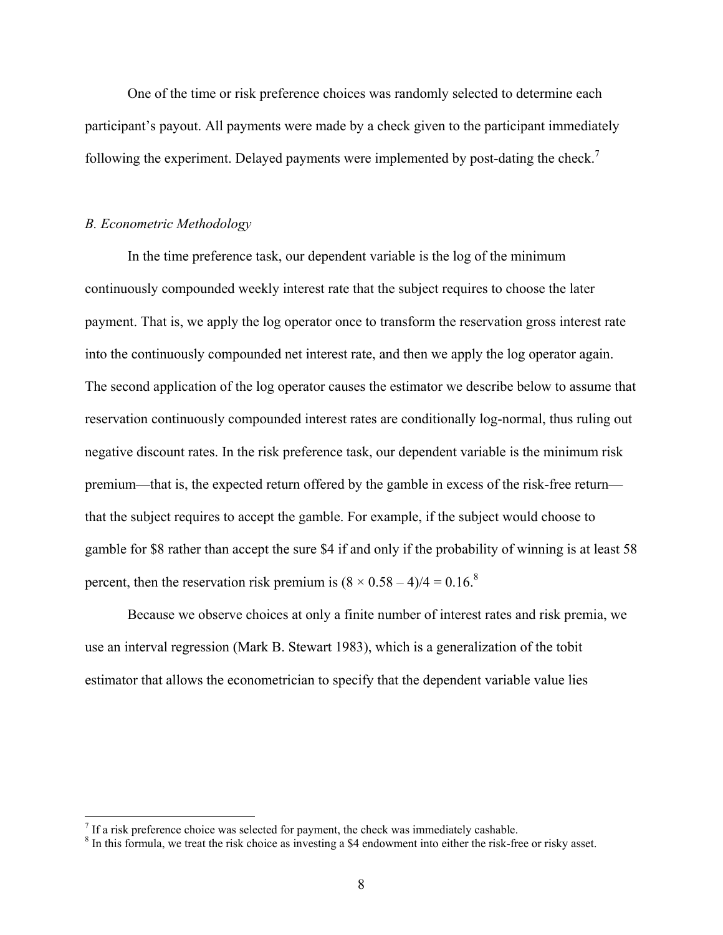One of the time or risk preference choices was randomly selected to determine each participant's payout. All payments were made by a check given to the participant immediately following the experiment. Delayed payments were implemented by post-dating the check.<sup>7</sup>

## *B. Econometric Methodology*

1

 In the time preference task, our dependent variable is the log of the minimum continuously compounded weekly interest rate that the subject requires to choose the later payment. That is, we apply the log operator once to transform the reservation gross interest rate into the continuously compounded net interest rate, and then we apply the log operator again. The second application of the log operator causes the estimator we describe below to assume that reservation continuously compounded interest rates are conditionally log-normal, thus ruling out negative discount rates. In the risk preference task, our dependent variable is the minimum risk premium—that is, the expected return offered by the gamble in excess of the risk-free return that the subject requires to accept the gamble. For example, if the subject would choose to gamble for \$8 rather than accept the sure \$4 if and only if the probability of winning is at least 58 percent, then the reservation risk premium is  $(8 \times 0.58 - 4)/4 = 0.16$ .<sup>8</sup>

 Because we observe choices at only a finite number of interest rates and risk premia, we use an interval regression (Mark B. Stewart 1983), which is a generalization of the tobit estimator that allows the econometrician to specify that the dependent variable value lies

If a risk preference choice was selected for payment, the check was immediately cashable.

<sup>&</sup>lt;sup>8</sup> In this formula, we treat the risk choice as investing a \$4 endowment into either the risk-free or risky asset.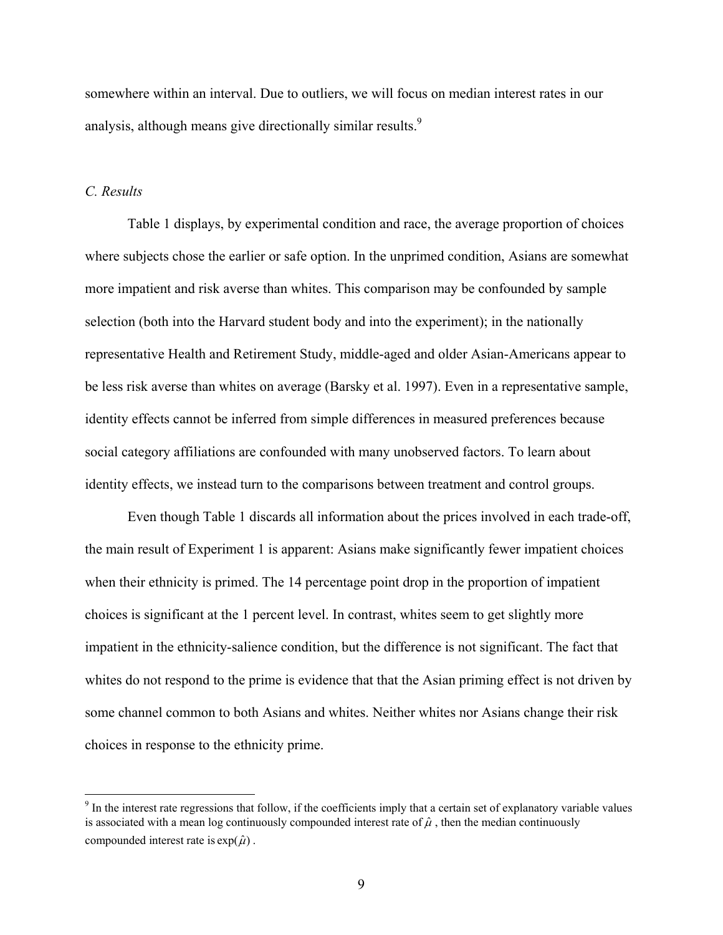somewhere within an interval. Due to outliers, we will focus on median interest rates in our analysis, although means give directionally similar results.<sup>9</sup>

## *C. Results*

 $\overline{a}$ 

Table 1 displays, by experimental condition and race, the average proportion of choices where subjects chose the earlier or safe option. In the unprimed condition, Asians are somewhat more impatient and risk averse than whites. This comparison may be confounded by sample selection (both into the Harvard student body and into the experiment); in the nationally representative Health and Retirement Study, middle-aged and older Asian-Americans appear to be less risk averse than whites on average (Barsky et al. 1997). Even in a representative sample, identity effects cannot be inferred from simple differences in measured preferences because social category affiliations are confounded with many unobserved factors. To learn about identity effects, we instead turn to the comparisons between treatment and control groups.

Even though Table 1 discards all information about the prices involved in each trade-off, the main result of Experiment 1 is apparent: Asians make significantly fewer impatient choices when their ethnicity is primed. The 14 percentage point drop in the proportion of impatient choices is significant at the 1 percent level. In contrast, whites seem to get slightly more impatient in the ethnicity-salience condition, but the difference is not significant. The fact that whites do not respond to the prime is evidence that that the Asian priming effect is not driven by some channel common to both Asians and whites. Neither whites nor Asians change their risk choices in response to the ethnicity prime.

 $9<sup>9</sup>$  In the interest rate regressions that follow, if the coefficients imply that a certain set of explanatory variable values is associated with a mean log continuously compounded interest rate of  $\hat{\mu}$ , then the median continuously compounded interest rate is  $\exp(\hat{\mu})$ .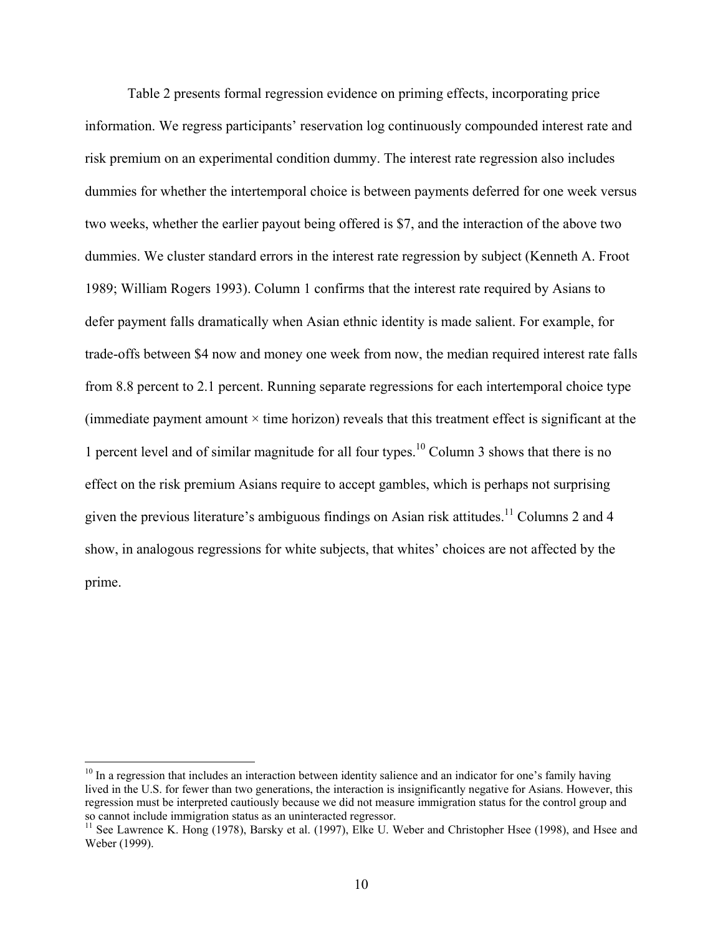Table 2 presents formal regression evidence on priming effects, incorporating price information. We regress participants' reservation log continuously compounded interest rate and risk premium on an experimental condition dummy. The interest rate regression also includes dummies for whether the intertemporal choice is between payments deferred for one week versus two weeks, whether the earlier payout being offered is \$7, and the interaction of the above two dummies. We cluster standard errors in the interest rate regression by subject (Kenneth A. Froot 1989; William Rogers 1993). Column 1 confirms that the interest rate required by Asians to defer payment falls dramatically when Asian ethnic identity is made salient. For example, for trade-offs between \$4 now and money one week from now, the median required interest rate falls from 8.8 percent to 2.1 percent. Running separate regressions for each intertemporal choice type (immediate payment amount  $\times$  time horizon) reveals that this treatment effect is significant at the 1 percent level and of similar magnitude for all four types.<sup>10</sup> Column 3 shows that there is no effect on the risk premium Asians require to accept gambles, which is perhaps not surprising given the previous literature's ambiguous findings on Asian risk attitudes.<sup>11</sup> Columns 2 and 4 show, in analogous regressions for white subjects, that whites' choices are not affected by the prime.

 $10$  In a regression that includes an interaction between identity salience and an indicator for one's family having lived in the U.S. for fewer than two generations, the interaction is insignificantly negative for Asians. However, this regression must be interpreted cautiously because we did not measure immigration status for the control group and so cannot include immigration status as an uninteracted regressor.

 $11$  See Lawrence K. Hong (1978), Barsky et al. (1997), Elke U. Weber and Christopher Hsee (1998), and Hsee and Weber (1999).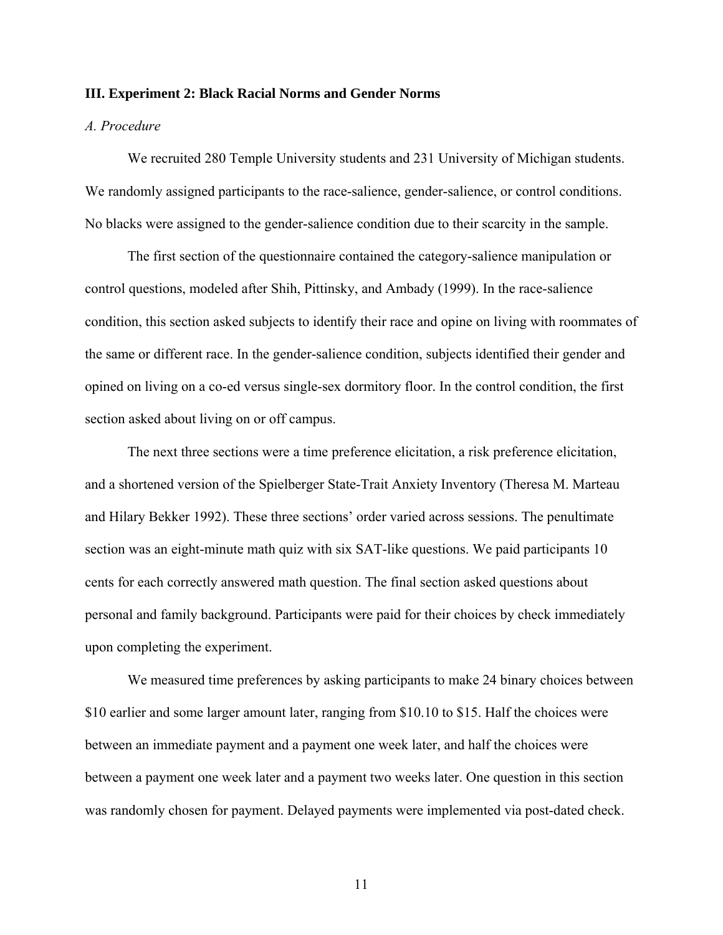#### **III. Experiment 2: Black Racial Norms and Gender Norms**

# *A. Procedure*

We recruited 280 Temple University students and 231 University of Michigan students. We randomly assigned participants to the race-salience, gender-salience, or control conditions. No blacks were assigned to the gender-salience condition due to their scarcity in the sample.

The first section of the questionnaire contained the category-salience manipulation or control questions, modeled after Shih, Pittinsky, and Ambady (1999). In the race-salience condition, this section asked subjects to identify their race and opine on living with roommates of the same or different race. In the gender-salience condition, subjects identified their gender and opined on living on a co-ed versus single-sex dormitory floor. In the control condition, the first section asked about living on or off campus.

The next three sections were a time preference elicitation, a risk preference elicitation, and a shortened version of the Spielberger State-Trait Anxiety Inventory (Theresa M. Marteau and Hilary Bekker 1992). These three sections' order varied across sessions. The penultimate section was an eight-minute math quiz with six SAT-like questions. We paid participants 10 cents for each correctly answered math question. The final section asked questions about personal and family background. Participants were paid for their choices by check immediately upon completing the experiment.

We measured time preferences by asking participants to make 24 binary choices between \$10 earlier and some larger amount later, ranging from \$10.10 to \$15. Half the choices were between an immediate payment and a payment one week later, and half the choices were between a payment one week later and a payment two weeks later. One question in this section was randomly chosen for payment. Delayed payments were implemented via post-dated check.

11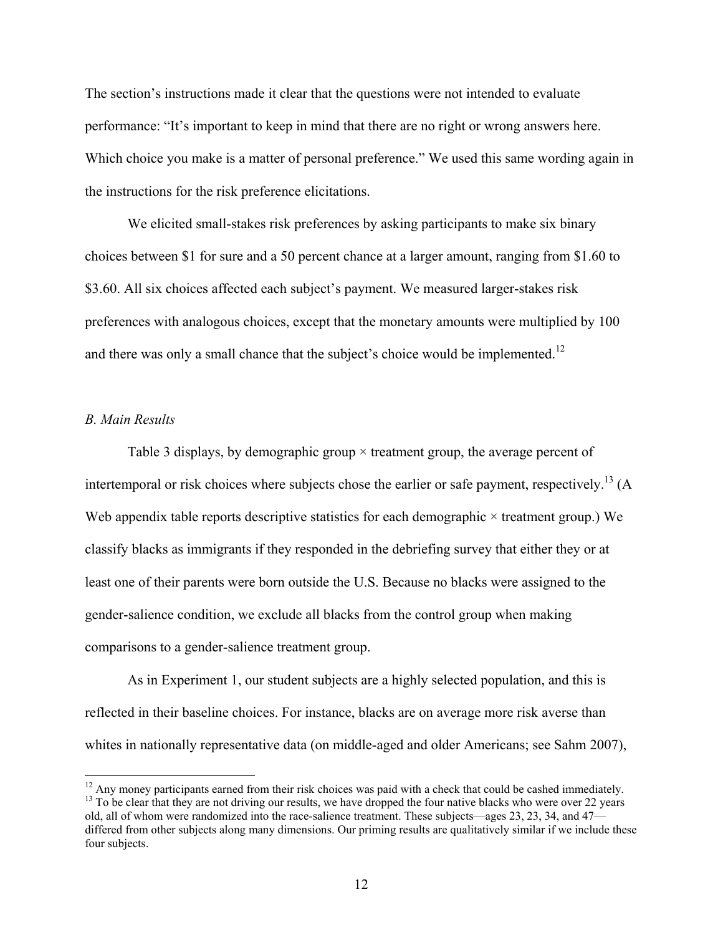The section's instructions made it clear that the questions were not intended to evaluate performance: "It's important to keep in mind that there are no right or wrong answers here. Which choice you make is a matter of personal preference." We used this same wording again in the instructions for the risk preference elicitations.

We elicited small-stakes risk preferences by asking participants to make six binary choices between \$1 for sure and a 50 percent chance at a larger amount, ranging from \$1.60 to \$3.60. All six choices affected each subject's payment. We measured larger-stakes risk preferences with analogous choices, except that the monetary amounts were multiplied by 100 and there was only a small chance that the subject's choice would be implemented.<sup>12</sup>

## *B. Main Results*

 $\overline{a}$ 

Table 3 displays, by demographic group × treatment group, the average percent of intertemporal or risk choices where subjects chose the earlier or safe payment, respectively.<sup>13</sup> (A Web appendix table reports descriptive statistics for each demographic  $\times$  treatment group.) We classify blacks as immigrants if they responded in the debriefing survey that either they or at least one of their parents were born outside the U.S. Because no blacks were assigned to the gender-salience condition, we exclude all blacks from the control group when making comparisons to a gender-salience treatment group.

As in Experiment 1, our student subjects are a highly selected population, and this is reflected in their baseline choices. For instance, blacks are on average more risk averse than whites in nationally representative data (on middle-aged and older Americans; see Sahm 2007),

 $12$  Any money participants earned from their risk choices was paid with a check that could be cashed immediately.  $<sup>13</sup>$  To be clear that they are not driving our results, we have dropped the four native blacks who were over 22 years</sup> old, all of whom were randomized into the race-salience treatment. These subjects—ages 23, 23, 34, and 47 differed from other subjects along many dimensions. Our priming results are qualitatively similar if we include these four subjects.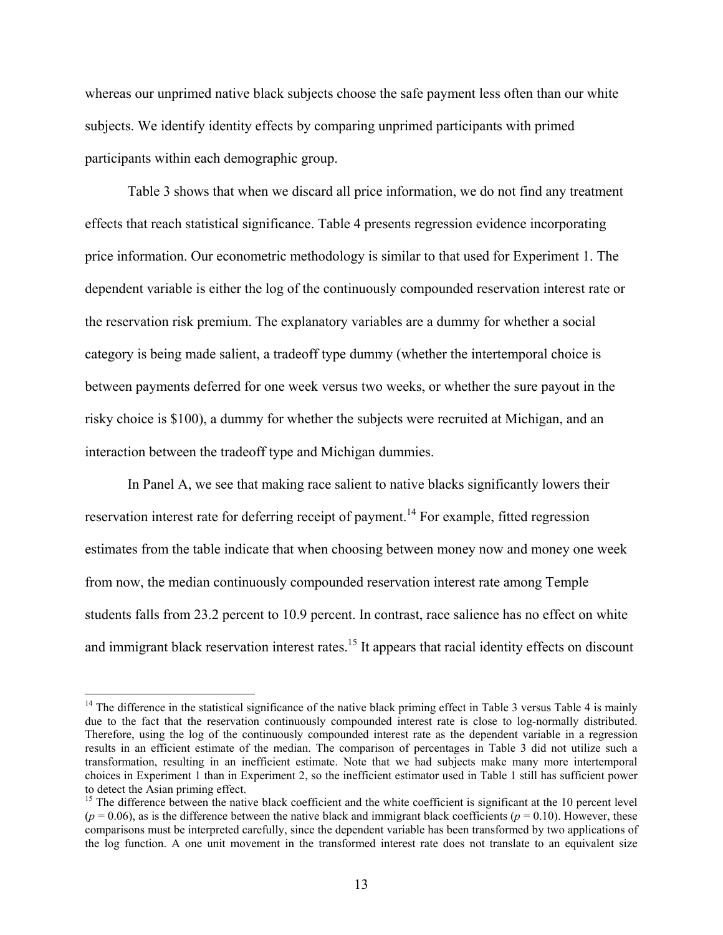whereas our unprimed native black subjects choose the safe payment less often than our white subjects. We identify identity effects by comparing unprimed participants with primed participants within each demographic group.

Table 3 shows that when we discard all price information, we do not find any treatment effects that reach statistical significance. Table 4 presents regression evidence incorporating price information. Our econometric methodology is similar to that used for Experiment 1. The dependent variable is either the log of the continuously compounded reservation interest rate or the reservation risk premium. The explanatory variables are a dummy for whether a social category is being made salient, a tradeoff type dummy (whether the intertemporal choice is between payments deferred for one week versus two weeks, or whether the sure payout in the risky choice is \$100), a dummy for whether the subjects were recruited at Michigan, and an interaction between the tradeoff type and Michigan dummies.

In Panel A, we see that making race salient to native blacks significantly lowers their reservation interest rate for deferring receipt of payment.<sup>14</sup> For example, fitted regression estimates from the table indicate that when choosing between money now and money one week from now, the median continuously compounded reservation interest rate among Temple students falls from 23.2 percent to 10.9 percent. In contrast, race salience has no effect on white and immigrant black reservation interest rates.<sup>15</sup> It appears that racial identity effects on discount

 $14$  The difference in the statistical significance of the native black priming effect in Table 3 versus Table 4 is mainly due to the fact that the reservation continuously compounded interest rate is close to log-normally distributed. Therefore, using the log of the continuously compounded interest rate as the dependent variable in a regression results in an efficient estimate of the median. The comparison of percentages in Table 3 did not utilize such a transformation, resulting in an inefficient estimate. Note that we had subjects make many more intertemporal choices in Experiment 1 than in Experiment 2, so the inefficient estimator used in Table 1 still has sufficient power to detect the Asian priming effect.

 $15$  The difference between the native black coefficient and the white coefficient is significant at the 10 percent level  $(p = 0.06)$ , as is the difference between the native black and immigrant black coefficients  $(p = 0.10)$ . However, these comparisons must be interpreted carefully, since the dependent variable has been transformed by two applications of the log function. A one unit movement in the transformed interest rate does not translate to an equivalent size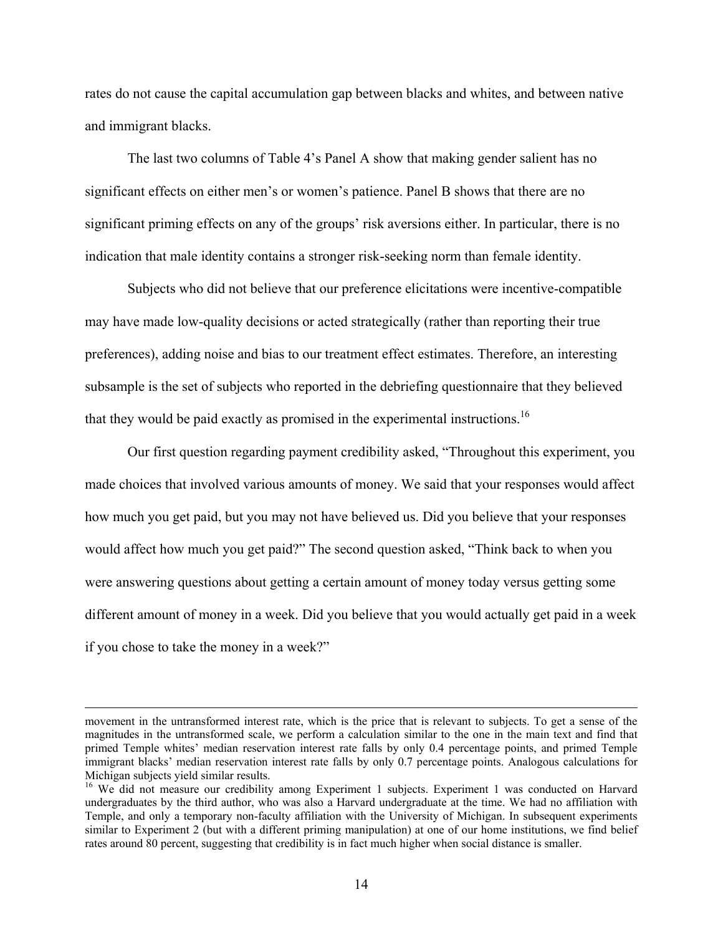rates do not cause the capital accumulation gap between blacks and whites, and between native and immigrant blacks.

The last two columns of Table 4's Panel A show that making gender salient has no significant effects on either men's or women's patience. Panel B shows that there are no significant priming effects on any of the groups' risk aversions either. In particular, there is no indication that male identity contains a stronger risk-seeking norm than female identity.

Subjects who did not believe that our preference elicitations were incentive-compatible may have made low-quality decisions or acted strategically (rather than reporting their true preferences), adding noise and bias to our treatment effect estimates. Therefore, an interesting subsample is the set of subjects who reported in the debriefing questionnaire that they believed that they would be paid exactly as promised in the experimental instructions.<sup>16</sup>

Our first question regarding payment credibility asked, "Throughout this experiment, you made choices that involved various amounts of money. We said that your responses would affect how much you get paid, but you may not have believed us. Did you believe that your responses would affect how much you get paid?" The second question asked, "Think back to when you were answering questions about getting a certain amount of money today versus getting some different amount of money in a week. Did you believe that you would actually get paid in a week if you chose to take the money in a week?"

movement in the untransformed interest rate, which is the price that is relevant to subjects. To get a sense of the magnitudes in the untransformed scale, we perform a calculation similar to the one in the main text and find that primed Temple whites' median reservation interest rate falls by only 0.4 percentage points, and primed Temple immigrant blacks' median reservation interest rate falls by only 0.7 percentage points. Analogous calculations for Michigan subjects yield similar results.

<sup>&</sup>lt;sup>16</sup> We did not measure our credibility among Experiment 1 subjects. Experiment 1 was conducted on Harvard undergraduates by the third author, who was also a Harvard undergraduate at the time. We had no affiliation with Temple, and only a temporary non-faculty affiliation with the University of Michigan. In subsequent experiments similar to Experiment 2 (but with a different priming manipulation) at one of our home institutions, we find belief rates around 80 percent, suggesting that credibility is in fact much higher when social distance is smaller.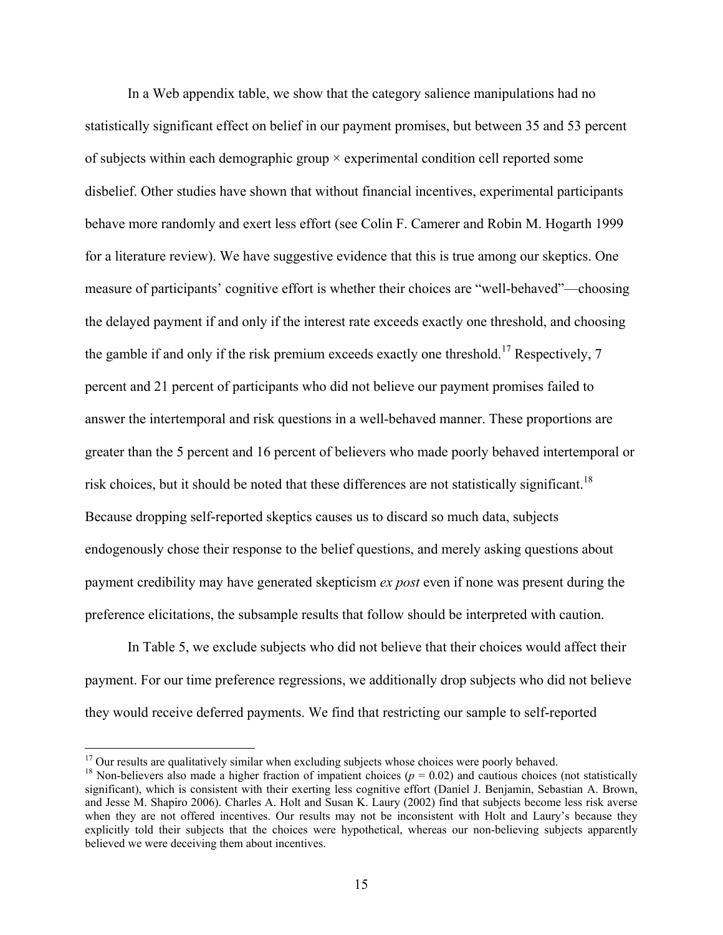In a Web appendix table, we show that the category salience manipulations had no statistically significant effect on belief in our payment promises, but between 35 and 53 percent of subjects within each demographic group × experimental condition cell reported some disbelief. Other studies have shown that without financial incentives, experimental participants behave more randomly and exert less effort (see Colin F. Camerer and Robin M. Hogarth 1999 for a literature review). We have suggestive evidence that this is true among our skeptics. One measure of participants' cognitive effort is whether their choices are "well-behaved"—choosing the delayed payment if and only if the interest rate exceeds exactly one threshold, and choosing the gamble if and only if the risk premium exceeds exactly one threshold.<sup>17</sup> Respectively, 7 percent and 21 percent of participants who did not believe our payment promises failed to answer the intertemporal and risk questions in a well-behaved manner. These proportions are greater than the 5 percent and 16 percent of believers who made poorly behaved intertemporal or risk choices, but it should be noted that these differences are not statistically significant.<sup>18</sup> Because dropping self-reported skeptics causes us to discard so much data, subjects endogenously chose their response to the belief questions, and merely asking questions about payment credibility may have generated skepticism *ex post* even if none was present during the preference elicitations, the subsample results that follow should be interpreted with caution.

In Table 5, we exclude subjects who did not believe that their choices would affect their payment. For our time preference regressions, we additionally drop subjects who did not believe they would receive deferred payments. We find that restricting our sample to self-reported

<sup>&</sup>lt;sup>17</sup> Our results are qualitatively similar when excluding subjects whose choices were poorly behaved.<br><sup>18</sup> Non-believers also made a higher fraction of impatient choices ( $p = 0.02$ ) and cautious choices (not statistically significant), which is consistent with their exerting less cognitive effort (Daniel J. Benjamin, Sebastian A. Brown, and Jesse M. Shapiro 2006). Charles A. Holt and Susan K. Laury (2002) find that subjects become less risk averse when they are not offered incentives. Our results may not be inconsistent with Holt and Laury's because they explicitly told their subjects that the choices were hypothetical, whereas our non-believing subjects apparently believed we were deceiving them about incentives.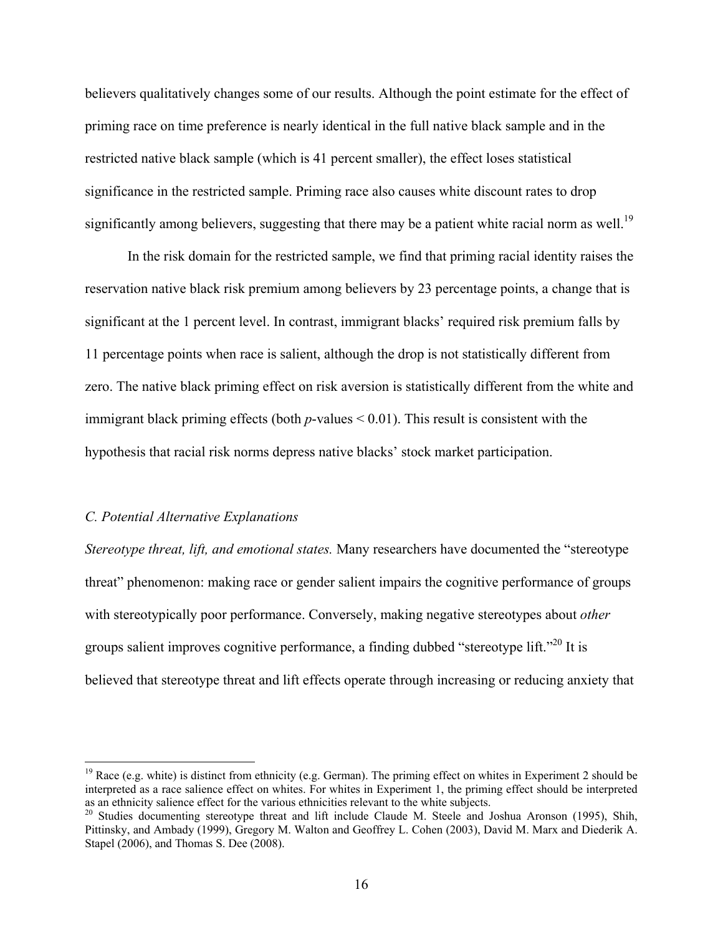believers qualitatively changes some of our results. Although the point estimate for the effect of priming race on time preference is nearly identical in the full native black sample and in the restricted native black sample (which is 41 percent smaller), the effect loses statistical significance in the restricted sample. Priming race also causes white discount rates to drop significantly among believers, suggesting that there may be a patient white racial norm as well.<sup>19</sup>

In the risk domain for the restricted sample, we find that priming racial identity raises the reservation native black risk premium among believers by 23 percentage points, a change that is significant at the 1 percent level. In contrast, immigrant blacks' required risk premium falls by 11 percentage points when race is salient, although the drop is not statistically different from zero. The native black priming effect on risk aversion is statistically different from the white and immigrant black priming effects (both *p*-values < 0.01). This result is consistent with the hypothesis that racial risk norms depress native blacks' stock market participation.

## *C. Potential Alternative Explanations*

 $\overline{a}$ 

*Stereotype threat, lift, and emotional states.* Many researchers have documented the "stereotype threat" phenomenon: making race or gender salient impairs the cognitive performance of groups with stereotypically poor performance. Conversely, making negative stereotypes about *other* groups salient improves cognitive performance, a finding dubbed "stereotype lift."<sup>20</sup> It is believed that stereotype threat and lift effects operate through increasing or reducing anxiety that

<sup>&</sup>lt;sup>19</sup> Race (e.g. white) is distinct from ethnicity (e.g. German). The priming effect on whites in Experiment 2 should be interpreted as a race salience effect on whites. For whites in Experiment 1, the priming effect should be interpreted as an ethnicity salience effect for the various ethnicities relevant to the white subjects.

<sup>&</sup>lt;sup>20</sup> Studies documenting stereotype threat and lift include Claude M. Steele and Joshua Aronson (1995), Shih, Pittinsky, and Ambady (1999), Gregory M. Walton and Geoffrey L. Cohen (2003), David M. Marx and Diederik A. Stapel (2006), and Thomas S. Dee (2008).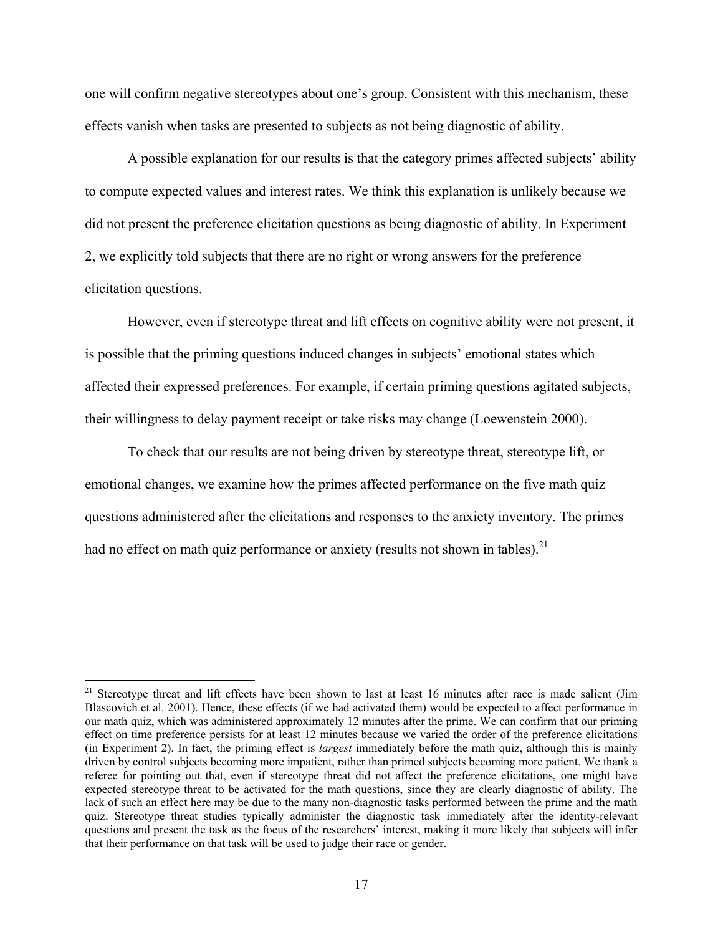one will confirm negative stereotypes about one's group. Consistent with this mechanism, these effects vanish when tasks are presented to subjects as not being diagnostic of ability.

A possible explanation for our results is that the category primes affected subjects' ability to compute expected values and interest rates. We think this explanation is unlikely because we did not present the preference elicitation questions as being diagnostic of ability. In Experiment 2, we explicitly told subjects that there are no right or wrong answers for the preference elicitation questions.

However, even if stereotype threat and lift effects on cognitive ability were not present, it is possible that the priming questions induced changes in subjects' emotional states which affected their expressed preferences. For example, if certain priming questions agitated subjects, their willingness to delay payment receipt or take risks may change (Loewenstein 2000).

To check that our results are not being driven by stereotype threat, stereotype lift, or emotional changes, we examine how the primes affected performance on the five math quiz questions administered after the elicitations and responses to the anxiety inventory. The primes had no effect on math quiz performance or anxiety (results not shown in tables).<sup>21</sup>

1

<sup>&</sup>lt;sup>21</sup> Stereotype threat and lift effects have been shown to last at least 16 minutes after race is made salient (Jim Blascovich et al. 2001). Hence, these effects (if we had activated them) would be expected to affect performance in our math quiz, which was administered approximately 12 minutes after the prime. We can confirm that our priming effect on time preference persists for at least 12 minutes because we varied the order of the preference elicitations (in Experiment 2). In fact, the priming effect is *largest* immediately before the math quiz, although this is mainly driven by control subjects becoming more impatient, rather than primed subjects becoming more patient. We thank a referee for pointing out that, even if stereotype threat did not affect the preference elicitations, one might have expected stereotype threat to be activated for the math questions, since they are clearly diagnostic of ability. The lack of such an effect here may be due to the many non-diagnostic tasks performed between the prime and the math quiz. Stereotype threat studies typically administer the diagnostic task immediately after the identity-relevant questions and present the task as the focus of the researchers' interest, making it more likely that subjects will infer that their performance on that task will be used to judge their race or gender.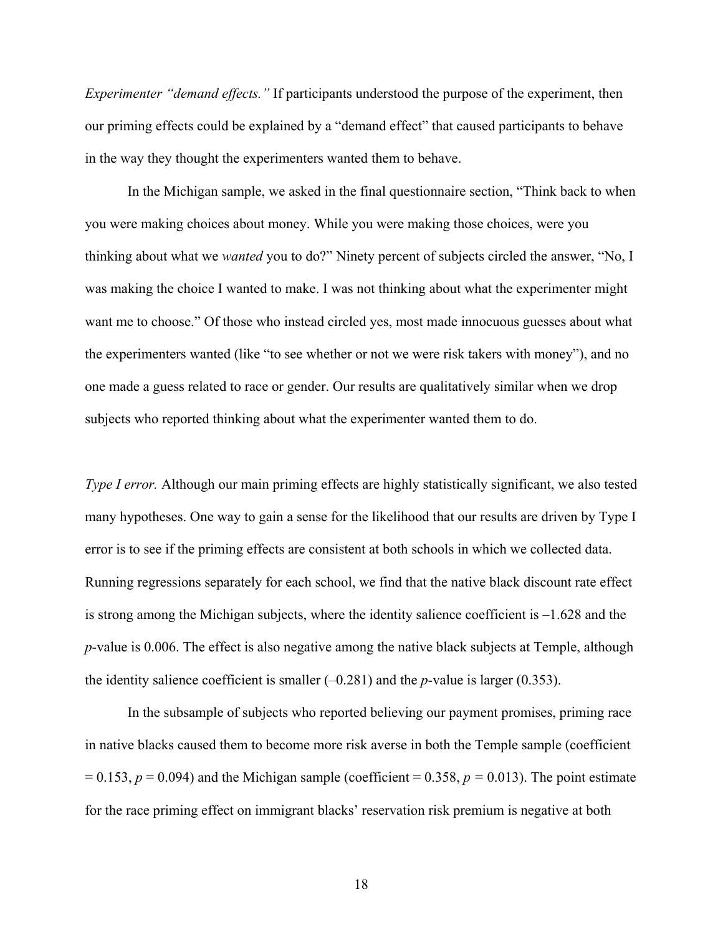*Experimenter "demand effects."* If participants understood the purpose of the experiment, then our priming effects could be explained by a "demand effect" that caused participants to behave in the way they thought the experimenters wanted them to behave.

In the Michigan sample, we asked in the final questionnaire section, "Think back to when you were making choices about money. While you were making those choices, were you thinking about what we *wanted* you to do?" Ninety percent of subjects circled the answer, "No, I was making the choice I wanted to make. I was not thinking about what the experimenter might want me to choose." Of those who instead circled yes, most made innocuous guesses about what the experimenters wanted (like "to see whether or not we were risk takers with money"), and no one made a guess related to race or gender. Our results are qualitatively similar when we drop subjects who reported thinking about what the experimenter wanted them to do.

*Type I error.* Although our main priming effects are highly statistically significant, we also tested many hypotheses. One way to gain a sense for the likelihood that our results are driven by Type I error is to see if the priming effects are consistent at both schools in which we collected data. Running regressions separately for each school, we find that the native black discount rate effect is strong among the Michigan subjects, where the identity salience coefficient is –1.628 and the *p*-value is 0.006. The effect is also negative among the native black subjects at Temple, although the identity salience coefficient is smaller  $(-0.281)$  and the *p*-value is larger  $(0.353)$ .

In the subsample of subjects who reported believing our payment promises, priming race in native blacks caused them to become more risk averse in both the Temple sample (coefficient  $= 0.153$ ,  $p = 0.094$ ) and the Michigan sample (coefficient  $= 0.358$ ,  $p = 0.013$ ). The point estimate for the race priming effect on immigrant blacks' reservation risk premium is negative at both

18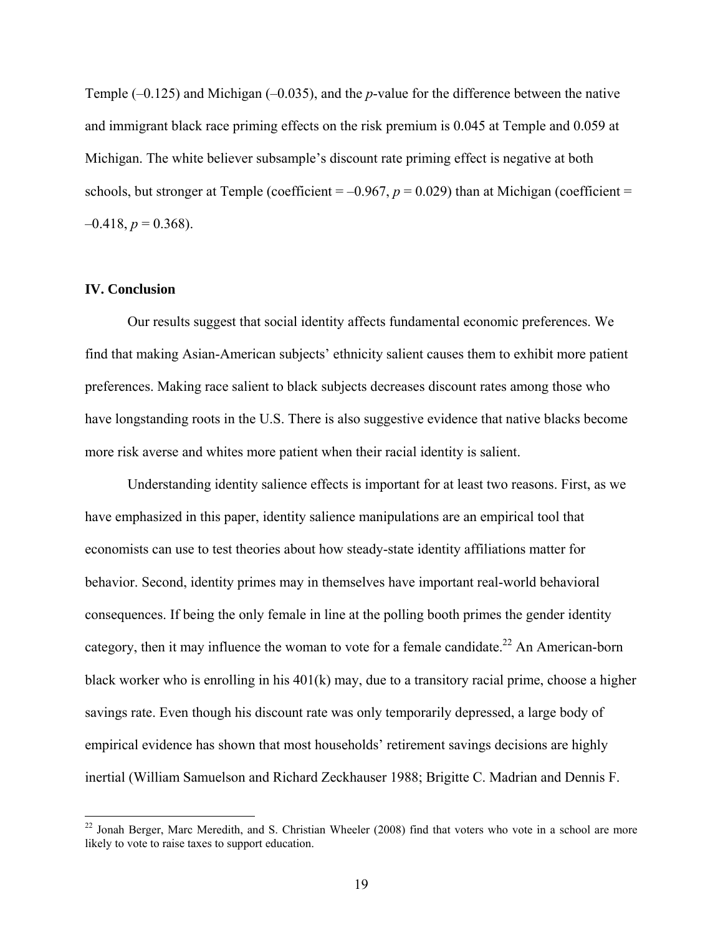Temple (–0.125) and Michigan (–0.035), and the *p*-value for the difference between the native and immigrant black race priming effects on the risk premium is 0.045 at Temple and 0.059 at Michigan. The white believer subsample's discount rate priming effect is negative at both schools, but stronger at Temple (coefficient  $= -0.967$ ,  $p = 0.029$ ) than at Michigan (coefficient  $=$  $-0.418$ ,  $p = 0.368$ ).

# **IV. Conclusion**

1

 Our results suggest that social identity affects fundamental economic preferences. We find that making Asian-American subjects' ethnicity salient causes them to exhibit more patient preferences. Making race salient to black subjects decreases discount rates among those who have longstanding roots in the U.S. There is also suggestive evidence that native blacks become more risk averse and whites more patient when their racial identity is salient.

 Understanding identity salience effects is important for at least two reasons. First, as we have emphasized in this paper, identity salience manipulations are an empirical tool that economists can use to test theories about how steady-state identity affiliations matter for behavior. Second, identity primes may in themselves have important real-world behavioral consequences. If being the only female in line at the polling booth primes the gender identity category, then it may influence the woman to vote for a female candidate.<sup>22</sup> An American-born black worker who is enrolling in his 401(k) may, due to a transitory racial prime, choose a higher savings rate. Even though his discount rate was only temporarily depressed, a large body of empirical evidence has shown that most households' retirement savings decisions are highly inertial (William Samuelson and Richard Zeckhauser 1988; Brigitte C. Madrian and Dennis F.

 $22$  Jonah Berger, Marc Meredith, and S. Christian Wheeler (2008) find that voters who vote in a school are more likely to vote to raise taxes to support education.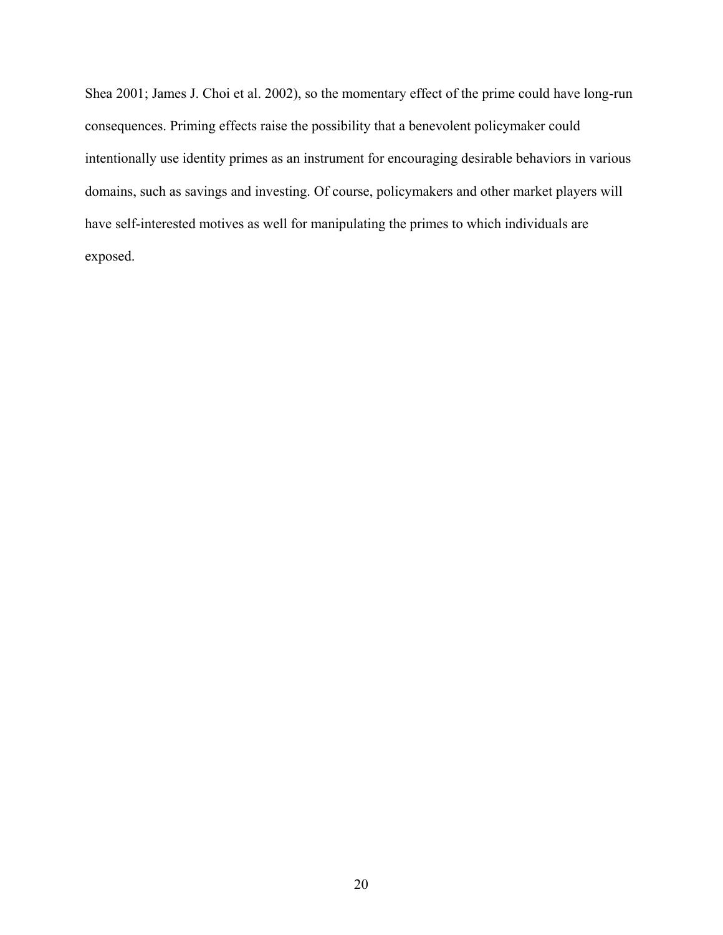Shea 2001; James J. Choi et al. 2002), so the momentary effect of the prime could have long-run consequences. Priming effects raise the possibility that a benevolent policymaker could intentionally use identity primes as an instrument for encouraging desirable behaviors in various domains, such as savings and investing. Of course, policymakers and other market players will have self-interested motives as well for manipulating the primes to which individuals are exposed.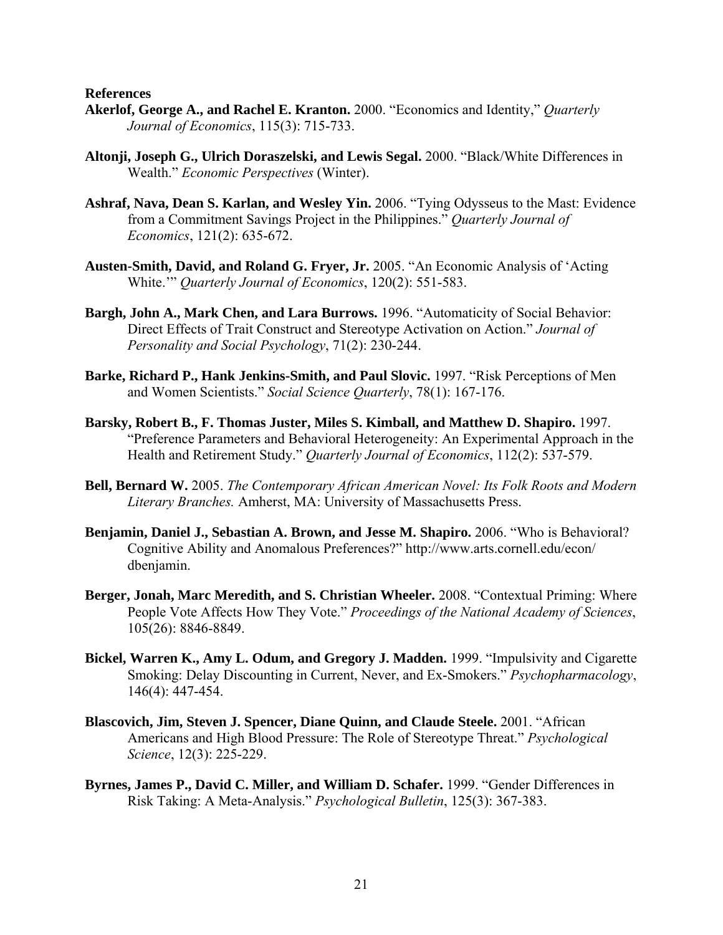**References** 

- **Akerlof, George A., and Rachel E. Kranton.** 2000. "Economics and Identity," *Quarterly Journal of Economics*, 115(3): 715-733.
- **Altonji, Joseph G., Ulrich Doraszelski, and Lewis Segal.** 2000. "Black/White Differences in Wealth." *Economic Perspectives* (Winter).
- **Ashraf, Nava, Dean S. Karlan, and Wesley Yin.** 2006. "Tying Odysseus to the Mast: Evidence from a Commitment Savings Project in the Philippines." *Quarterly Journal of Economics*, 121(2): 635-672.
- **Austen-Smith, David, and Roland G. Fryer, Jr.** 2005. "An Economic Analysis of 'Acting White.'" *Quarterly Journal of Economics*, 120(2): 551-583.
- **Bargh, John A., Mark Chen, and Lara Burrows.** 1996. "Automaticity of Social Behavior: Direct Effects of Trait Construct and Stereotype Activation on Action." *Journal of Personality and Social Psychology*, 71(2): 230-244.
- **Barke, Richard P., Hank Jenkins-Smith, and Paul Slovic.** 1997. "Risk Perceptions of Men and Women Scientists." *Social Science Quarterly*, 78(1): 167-176.
- **Barsky, Robert B., F. Thomas Juster, Miles S. Kimball, and Matthew D. Shapiro.** 1997. "Preference Parameters and Behavioral Heterogeneity: An Experimental Approach in the Health and Retirement Study." *Quarterly Journal of Economics*, 112(2): 537-579.
- **Bell, Bernard W.** 2005. *The Contemporary African American Novel: Its Folk Roots and Modern Literary Branches.* Amherst, MA: University of Massachusetts Press.
- **Benjamin, Daniel J., Sebastian A. Brown, and Jesse M. Shapiro.** 2006. "Who is Behavioral? Cognitive Ability and Anomalous Preferences?" http://www.arts.cornell.edu/econ/ dbenjamin.
- **Berger, Jonah, Marc Meredith, and S. Christian Wheeler.** 2008. "Contextual Priming: Where People Vote Affects How They Vote." *Proceedings of the National Academy of Sciences*, 105(26): 8846-8849.
- **Bickel, Warren K., Amy L. Odum, and Gregory J. Madden.** 1999. "Impulsivity and Cigarette Smoking: Delay Discounting in Current, Never, and Ex-Smokers." *Psychopharmacology*, 146(4): 447-454.
- **Blascovich, Jim, Steven J. Spencer, Diane Quinn, and Claude Steele.** 2001. "African Americans and High Blood Pressure: The Role of Stereotype Threat." *Psychological Science*, 12(3): 225-229.
- **Byrnes, James P., David C. Miller, and William D. Schafer.** 1999. "Gender Differences in Risk Taking: A Meta-Analysis." *Psychological Bulletin*, 125(3): 367-383.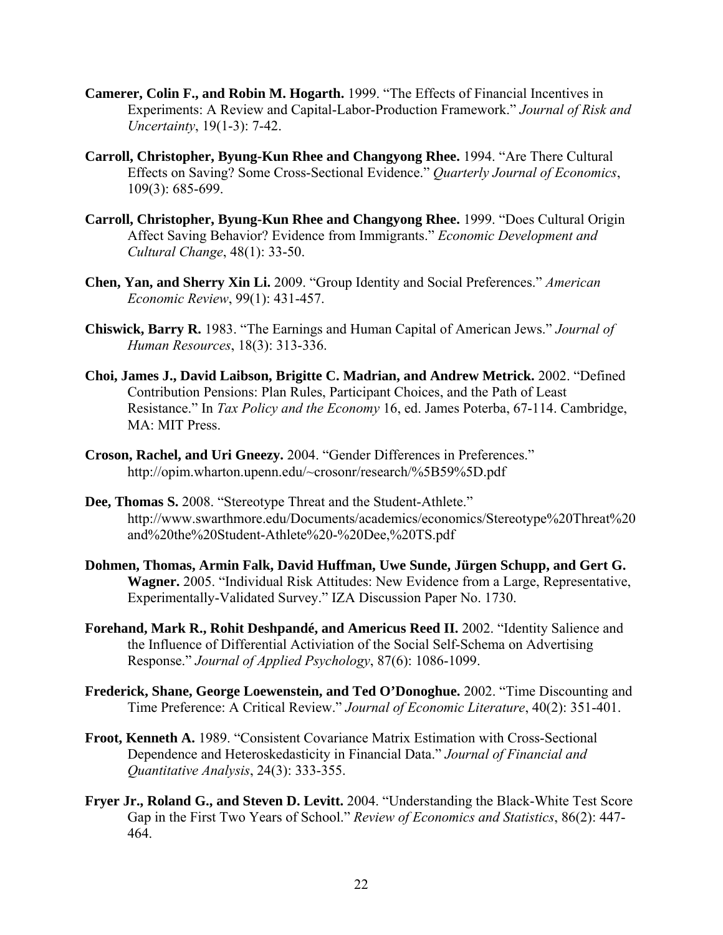- **Camerer, Colin F., and Robin M. Hogarth.** 1999. "The Effects of Financial Incentives in Experiments: A Review and Capital-Labor-Production Framework." *Journal of Risk and Uncertainty*, 19(1-3): 7-42.
- **Carroll, Christopher, Byung-Kun Rhee and Changyong Rhee.** 1994. "Are There Cultural Effects on Saving? Some Cross-Sectional Evidence." *Quarterly Journal of Economics*, 109(3): 685-699.
- **Carroll, Christopher, Byung-Kun Rhee and Changyong Rhee.** 1999. "Does Cultural Origin Affect Saving Behavior? Evidence from Immigrants." *Economic Development and Cultural Change*, 48(1): 33-50.
- **Chen, Yan, and Sherry Xin Li.** 2009. "Group Identity and Social Preferences." *American Economic Review*, 99(1): 431-457.
- **Chiswick, Barry R.** 1983. "The Earnings and Human Capital of American Jews." *Journal of Human Resources*, 18(3): 313-336.
- **Choi, James J., David Laibson, Brigitte C. Madrian, and Andrew Metrick.** 2002. "Defined Contribution Pensions: Plan Rules, Participant Choices, and the Path of Least Resistance." In *Tax Policy and the Economy* 16, ed. James Poterba, 67-114. Cambridge, MA: MIT Press.
- **Croson, Rachel, and Uri Gneezy.** 2004. "Gender Differences in Preferences." http://opim.wharton.upenn.edu/~crosonr/research/%5B59%5D.pdf
- **Dee, Thomas S.** 2008. "Stereotype Threat and the Student-Athlete." http://www.swarthmore.edu/Documents/academics/economics/Stereotype%20Threat%20 and%20the%20Student-Athlete%20-%20Dee,%20TS.pdf
- **Dohmen, Thomas, Armin Falk, David Huffman, Uwe Sunde, Jürgen Schupp, and Gert G. Wagner.** 2005. "Individual Risk Attitudes: New Evidence from a Large, Representative, Experimentally-Validated Survey." IZA Discussion Paper No. 1730.
- **Forehand, Mark R., Rohit Deshpandé, and Americus Reed II.** 2002. "Identity Salience and the Influence of Differential Activiation of the Social Self-Schema on Advertising Response." *Journal of Applied Psychology*, 87(6): 1086-1099.
- **Frederick, Shane, George Loewenstein, and Ted O'Donoghue.** 2002. "Time Discounting and Time Preference: A Critical Review." *Journal of Economic Literature*, 40(2): 351-401.
- **Froot, Kenneth A.** 1989. "Consistent Covariance Matrix Estimation with Cross-Sectional Dependence and Heteroskedasticity in Financial Data." *Journal of Financial and Quantitative Analysis*, 24(3): 333-355.
- **Fryer Jr., Roland G., and Steven D. Levitt.** 2004. "Understanding the Black-White Test Score Gap in the First Two Years of School." *Review of Economics and Statistics*, 86(2): 447- 464.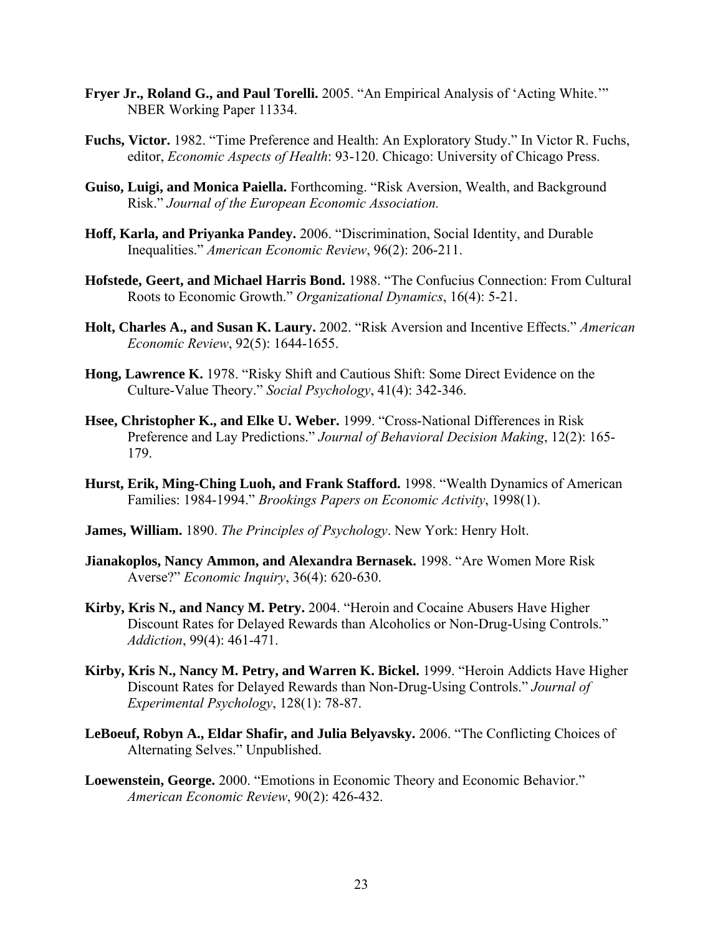- **Fryer Jr., Roland G., and Paul Torelli.** 2005. "An Empirical Analysis of 'Acting White.'" NBER Working Paper 11334.
- **Fuchs, Victor.** 1982. "Time Preference and Health: An Exploratory Study." In Victor R. Fuchs, editor, *Economic Aspects of Health*: 93-120. Chicago: University of Chicago Press.
- **Guiso, Luigi, and Monica Paiella.** Forthcoming. "Risk Aversion, Wealth, and Background Risk." *Journal of the European Economic Association.*
- **Hoff, Karla, and Priyanka Pandey.** 2006. "Discrimination, Social Identity, and Durable Inequalities." *American Economic Review*, 96(2): 206-211.
- **Hofstede, Geert, and Michael Harris Bond.** 1988. "The Confucius Connection: From Cultural Roots to Economic Growth." *Organizational Dynamics*, 16(4): 5-21.
- **Holt, Charles A., and Susan K. Laury.** 2002. "Risk Aversion and Incentive Effects." *American Economic Review*, 92(5): 1644-1655.
- **Hong, Lawrence K.** 1978. "Risky Shift and Cautious Shift: Some Direct Evidence on the Culture-Value Theory." *Social Psychology*, 41(4): 342-346.
- **Hsee, Christopher K., and Elke U. Weber.** 1999. "Cross-National Differences in Risk Preference and Lay Predictions." *Journal of Behavioral Decision Making*, 12(2): 165- 179.
- **Hurst, Erik, Ming-Ching Luoh, and Frank Stafford.** 1998. "Wealth Dynamics of American Families: 1984-1994." *Brookings Papers on Economic Activity*, 1998(1).
- **James, William.** 1890. *The Principles of Psychology*. New York: Henry Holt.
- **Jianakoplos, Nancy Ammon, and Alexandra Bernasek.** 1998. "Are Women More Risk Averse?" *Economic Inquiry*, 36(4): 620-630.
- **Kirby, Kris N., and Nancy M. Petry.** 2004. "Heroin and Cocaine Abusers Have Higher Discount Rates for Delayed Rewards than Alcoholics or Non-Drug-Using Controls." *Addiction*, 99(4): 461-471.
- **Kirby, Kris N., Nancy M. Petry, and Warren K. Bickel.** 1999. "Heroin Addicts Have Higher Discount Rates for Delayed Rewards than Non-Drug-Using Controls." *Journal of Experimental Psychology*, 128(1): 78-87.
- **LeBoeuf, Robyn A., Eldar Shafir, and Julia Belyavsky.** 2006. "The Conflicting Choices of Alternating Selves." Unpublished.
- **Loewenstein, George.** 2000. "Emotions in Economic Theory and Economic Behavior." *American Economic Review*, 90(2): 426-432.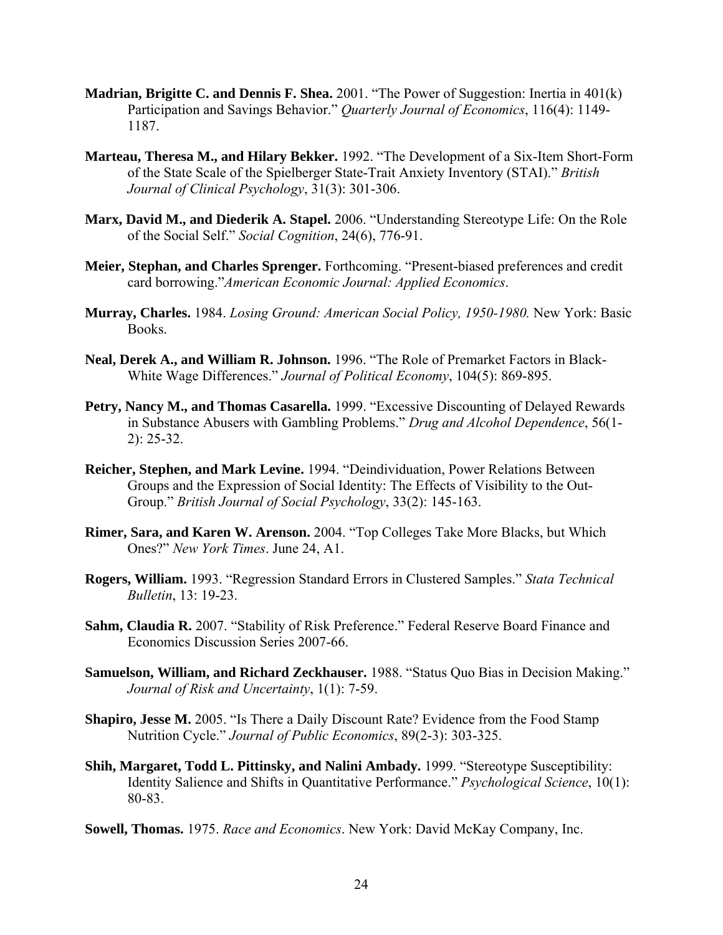- **Madrian, Brigitte C. and Dennis F. Shea.** 2001. "The Power of Suggestion: Inertia in 401(k) Participation and Savings Behavior." *Quarterly Journal of Economics*, 116(4): 1149- 1187.
- **Marteau, Theresa M., and Hilary Bekker.** 1992. "The Development of a Six-Item Short-Form of the State Scale of the Spielberger State-Trait Anxiety Inventory (STAI)." *British Journal of Clinical Psychology*, 31(3): 301-306.
- **Marx, David M., and Diederik A. Stapel.** 2006. "Understanding Stereotype Life: On the Role of the Social Self." *Social Cognition*, 24(6), 776-91.
- **Meier, Stephan, and Charles Sprenger.** Forthcoming. "Present-biased preferences and credit card borrowing."*American Economic Journal: Applied Economics*.
- **Murray, Charles.** 1984. *Losing Ground: American Social Policy, 1950-1980.* New York: Basic Books.
- **Neal, Derek A., and William R. Johnson.** 1996. "The Role of Premarket Factors in Black-White Wage Differences." *Journal of Political Economy*, 104(5): 869-895.
- **Petry, Nancy M., and Thomas Casarella.** 1999. "Excessive Discounting of Delayed Rewards in Substance Abusers with Gambling Problems." *Drug and Alcohol Dependence*, 56(1- 2): 25-32.
- **Reicher, Stephen, and Mark Levine.** 1994. "Deindividuation, Power Relations Between Groups and the Expression of Social Identity: The Effects of Visibility to the Out-Group." *British Journal of Social Psychology*, 33(2): 145-163.
- **Rimer, Sara, and Karen W. Arenson.** 2004. "Top Colleges Take More Blacks, but Which Ones?" *New York Times*. June 24, A1.
- **Rogers, William.** 1993. "Regression Standard Errors in Clustered Samples." *Stata Technical Bulletin*, 13: 19-23.
- **Sahm, Claudia R.** 2007. "Stability of Risk Preference." Federal Reserve Board Finance and Economics Discussion Series 2007-66.
- **Samuelson, William, and Richard Zeckhauser.** 1988. "Status Quo Bias in Decision Making." *Journal of Risk and Uncertainty*, 1(1): 7-59.
- **Shapiro, Jesse M.** 2005. "Is There a Daily Discount Rate? Evidence from the Food Stamp Nutrition Cycle." *Journal of Public Economics*, 89(2-3): 303-325.
- **Shih, Margaret, Todd L. Pittinsky, and Nalini Ambady.** 1999. "Stereotype Susceptibility: Identity Salience and Shifts in Quantitative Performance." *Psychological Science*, 10(1): 80-83.
- **Sowell, Thomas.** 1975. *Race and Economics*. New York: David McKay Company, Inc.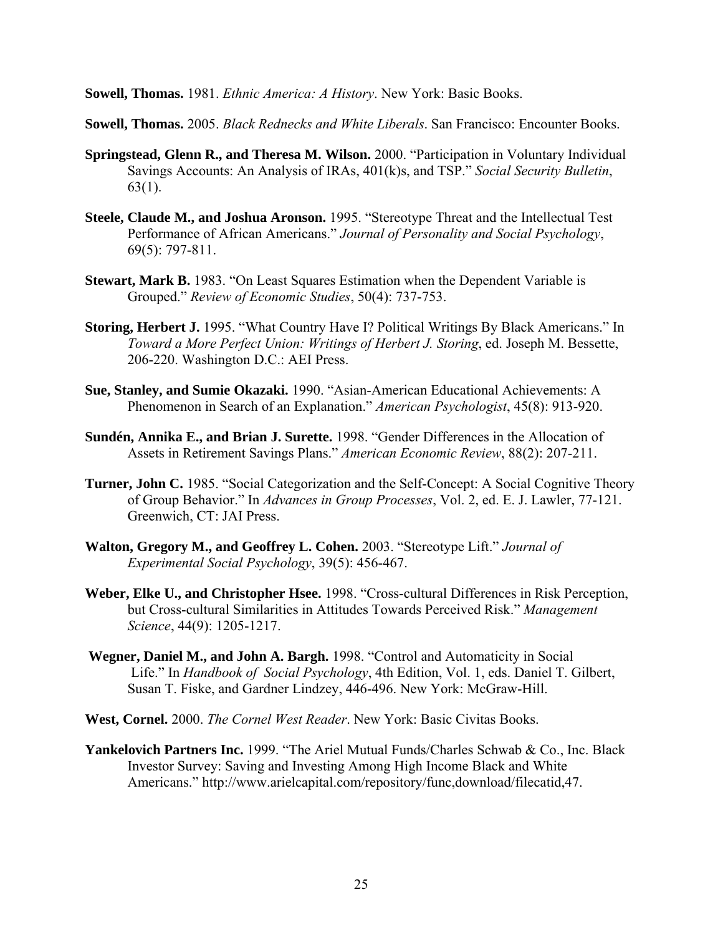**Sowell, Thomas.** 1981. *Ethnic America: A History*. New York: Basic Books.

**Sowell, Thomas.** 2005. *Black Rednecks and White Liberals*. San Francisco: Encounter Books.

- **Springstead, Glenn R., and Theresa M. Wilson.** 2000. "Participation in Voluntary Individual Savings Accounts: An Analysis of IRAs, 401(k)s, and TSP." *Social Security Bulletin*, 63(1).
- **Steele, Claude M., and Joshua Aronson.** 1995. "Stereotype Threat and the Intellectual Test Performance of African Americans." *Journal of Personality and Social Psychology*, 69(5): 797-811.
- **Stewart, Mark B.** 1983. "On Least Squares Estimation when the Dependent Variable is Grouped." *Review of Economic Studies*, 50(4): 737-753.
- **Storing, Herbert J.** 1995. "What Country Have I? Political Writings By Black Americans." In *Toward a More Perfect Union: Writings of Herbert J. Storing*, ed. Joseph M. Bessette, 206-220. Washington D.C.: AEI Press.
- **Sue, Stanley, and Sumie Okazaki.** 1990. "Asian-American Educational Achievements: A Phenomenon in Search of an Explanation." *American Psychologist*, 45(8): 913-920.
- **Sundén, Annika E., and Brian J. Surette.** 1998. "Gender Differences in the Allocation of Assets in Retirement Savings Plans." *American Economic Review*, 88(2): 207-211.
- **Turner, John C.** 1985. "Social Categorization and the Self-Concept: A Social Cognitive Theory of Group Behavior." In *Advances in Group Processes*, Vol. 2, ed. E. J. Lawler, 77-121. Greenwich, CT: JAI Press.
- **Walton, Gregory M., and Geoffrey L. Cohen.** 2003. "Stereotype Lift." *Journal of Experimental Social Psychology*, 39(5): 456-467.
- **Weber, Elke U., and Christopher Hsee.** 1998. "Cross-cultural Differences in Risk Perception, but Cross-cultural Similarities in Attitudes Towards Perceived Risk." *Management Science*, 44(9): 1205-1217.
- **Wegner, Daniel M., and John A. Bargh.** 1998. "Control and Automaticity in Social Life." In *Handbook of Social Psychology*, 4th Edition, Vol. 1, eds. Daniel T. Gilbert, Susan T. Fiske, and Gardner Lindzey, 446-496. New York: McGraw-Hill.
- **West, Cornel.** 2000. *The Cornel West Reader*. New York: Basic Civitas Books.
- **Yankelovich Partners Inc.** 1999. "The Ariel Mutual Funds/Charles Schwab & Co., Inc. Black Investor Survey: Saving and Investing Among High Income Black and White Americans." http://www.arielcapital.com/repository/func,download/filecatid,47.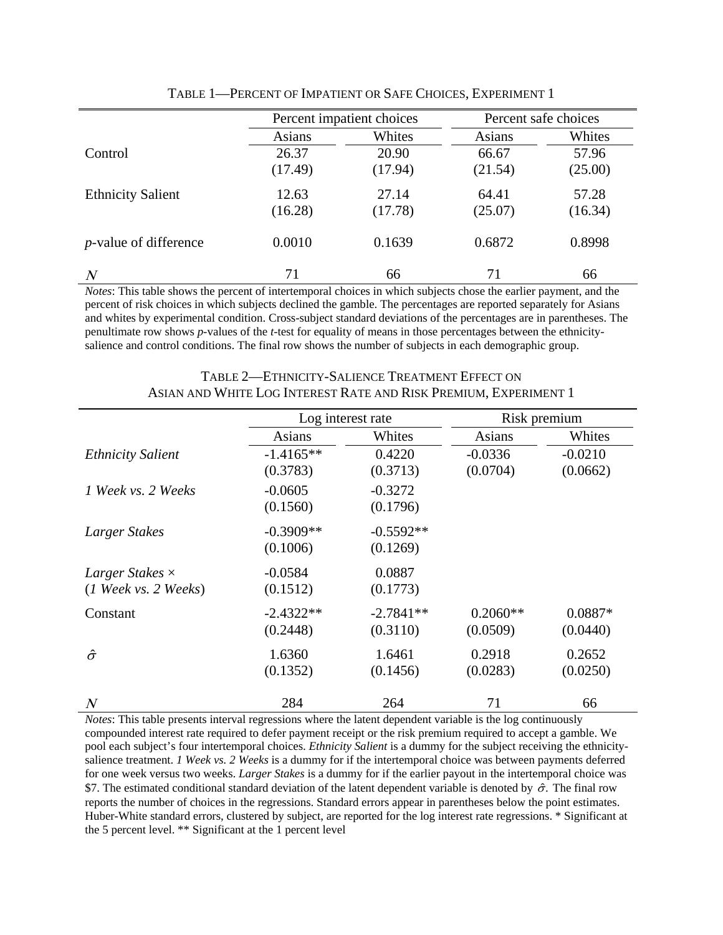|                               | Percent impatient choices |         | Percent safe choices |         |
|-------------------------------|---------------------------|---------|----------------------|---------|
|                               | <b>Asians</b>             | Whites  | <b>Asians</b>        | Whites  |
| Control                       | 26.37                     | 20.90   | 66.67                | 57.96   |
|                               | (17.49)                   | (17.94) | (21.54)              | (25.00) |
| <b>Ethnicity Salient</b>      | 12.63                     | 27.14   | 64.41                | 57.28   |
|                               | (16.28)                   | (17.78) | (25.07)              | (16.34) |
| <i>p</i> -value of difference | 0.0010                    | 0.1639  | 0.6872               | 0.8998  |
| $\overline{N}$                | 71                        | 66      | 71                   | 66      |

TABLE 1—PERCENT OF IMPATIENT OR SAFE CHOICES, EXPERIMENT 1

*Notes*: This table shows the percent of intertemporal choices in which subjects chose the earlier payment, and the percent of risk choices in which subjects declined the gamble. The percentages are reported separately for Asians and whites by experimental condition. Cross-subject standard deviations of the percentages are in parentheses. The penultimate row shows *p*-values of the *t*-test for equality of means in those percentages between the ethnicitysalience and control conditions. The final row shows the number of subjects in each demographic group.

|                                                                                    |                         | Log interest rate       |                        | Risk premium          |  |
|------------------------------------------------------------------------------------|-------------------------|-------------------------|------------------------|-----------------------|--|
|                                                                                    | Asians                  | Whites                  | Asians                 | Whites                |  |
| <b>Ethnicity Salient</b>                                                           | $-1.4165**$<br>(0.3783) | 0.4220<br>(0.3713)      | $-0.0336$<br>(0.0704)  | $-0.0210$<br>(0.0662) |  |
| 1 Week vs. 2 Weeks                                                                 | $-0.0605$<br>(0.1560)   | $-0.3272$<br>(0.1796)   |                        |                       |  |
| Larger Stakes                                                                      | $-0.3909**$<br>(0.1006) | $-0.5592**$<br>(0.1269) |                        |                       |  |
| Larger Stakes $\times$<br>$(1 \text{ \textit{Weak} vs. 2 \text{ \textit{Weak} s})$ | $-0.0584$<br>(0.1512)   | 0.0887<br>(0.1773)      |                        |                       |  |
| Constant                                                                           | $-2.4322**$<br>(0.2448) | $-2.7841**$<br>(0.3110) | $0.2060**$<br>(0.0509) | $0.0887*$<br>(0.0440) |  |
| $\hat{\sigma}$                                                                     | 1.6360<br>(0.1352)      | 1.6461<br>(0.1456)      | 0.2918<br>(0.0283)     | 0.2652<br>(0.0250)    |  |
| $\boldsymbol{N}$                                                                   | 284                     | 264                     | 71                     | 66                    |  |

TABLE 2—ETHNICITY-SALIENCE TREATMENT EFFECT ON ASIAN AND WHITE LOG INTEREST RATE AND RISK PREMIUM, EXPERIMENT 1

*Notes*: This table presents interval regressions where the latent dependent variable is the log continuously compounded interest rate required to defer payment receipt or the risk premium required to accept a gamble. We pool each subject's four intertemporal choices. *Ethnicity Salient* is a dummy for the subject receiving the ethnicitysalience treatment. *1 Week vs. 2 Weeks* is a dummy for if the intertemporal choice was between payments deferred for one week versus two weeks. *Larger Stakes* is a dummy for if the earlier payout in the intertemporal choice was \$7. The estimated conditional standard deviation of the latent dependent variable is denoted by  $\hat{\sigma}$ . The final row reports the number of choices in the regressions. Standard errors appear in parentheses below the point estimates. Huber-White standard errors, clustered by subject, are reported for the log interest rate regressions. \* Significant at the 5 percent level. \*\* Significant at the 1 percent level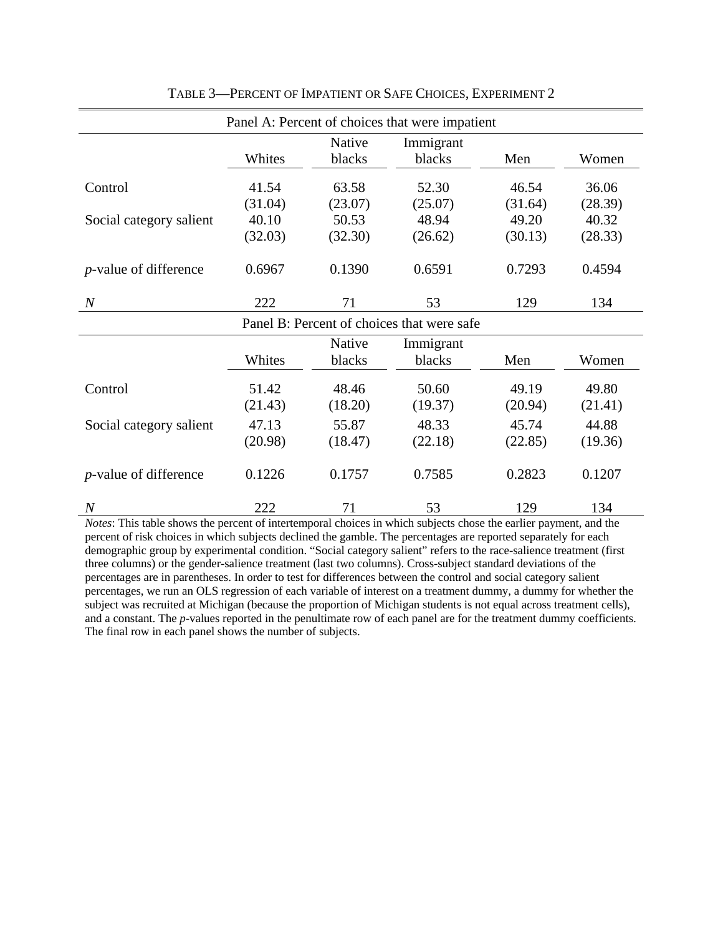| Panel A: Percent of choices that were impatient |                  |                     |                  |                  |                  |  |
|-------------------------------------------------|------------------|---------------------|------------------|------------------|------------------|--|
|                                                 |                  | Native              | Immigrant        |                  |                  |  |
|                                                 | Whites           | blacks              | blacks           | Men              | Women            |  |
| Control                                         | 41.54            | 63.58               | 52.30            | 46.54            | 36.06            |  |
|                                                 | (31.04)          | (23.07)             | (25.07)          | (31.64)          | (28.39)          |  |
| Social category salient                         | 40.10            | 50.53               | 48.94            | 49.20            | 40.32            |  |
|                                                 | (32.03)          | (32.30)             | (26.62)          | (30.13)          | (28.33)          |  |
| <i>p</i> -value of difference                   | 0.6967           | 0.1390              | 0.6591           | 0.7293           | 0.4594           |  |
| $\boldsymbol{N}$                                | 222              | 71                  | 53               | 129              | 134              |  |
| Panel B: Percent of choices that were safe      |                  |                     |                  |                  |                  |  |
|                                                 |                  | Native<br>Immigrant |                  |                  |                  |  |
|                                                 | Whites           | blacks              | blacks           | Men              | Women            |  |
| Control                                         | 51.42<br>(21.43) | 48.46<br>(18.20)    | 50.60<br>(19.37) | 49.19<br>(20.94) | 49.80<br>(21.41) |  |
|                                                 |                  |                     |                  |                  |                  |  |
| Social category salient                         | 47.13            | 55.87               | 48.33            | 45.74            | 44.88            |  |
|                                                 | (20.98)          | (18.47)             | (22.18)          | (22.85)          | (19.36)          |  |
| <i>p</i> -value of difference                   | 0.1226           | 0.1757              | 0.7585           | 0.2823           | 0.1207           |  |
| $\overline{N}$                                  | 222              | 71                  | 53               | 129              | 134              |  |

TABLE 3—PERCENT OF IMPATIENT OR SAFE CHOICES, EXPERIMENT 2

*Notes*: This table shows the percent of intertemporal choices in which subjects chose the earlier payment, and the percent of risk choices in which subjects declined the gamble. The percentages are reported separately for each demographic group by experimental condition. "Social category salient" refers to the race-salience treatment (first three columns) or the gender-salience treatment (last two columns). Cross-subject standard deviations of the percentages are in parentheses. In order to test for differences between the control and social category salient percentages, we run an OLS regression of each variable of interest on a treatment dummy, a dummy for whether the subject was recruited at Michigan (because the proportion of Michigan students is not equal across treatment cells), and a constant. The *p*-values reported in the penultimate row of each panel are for the treatment dummy coefficients. The final row in each panel shows the number of subjects.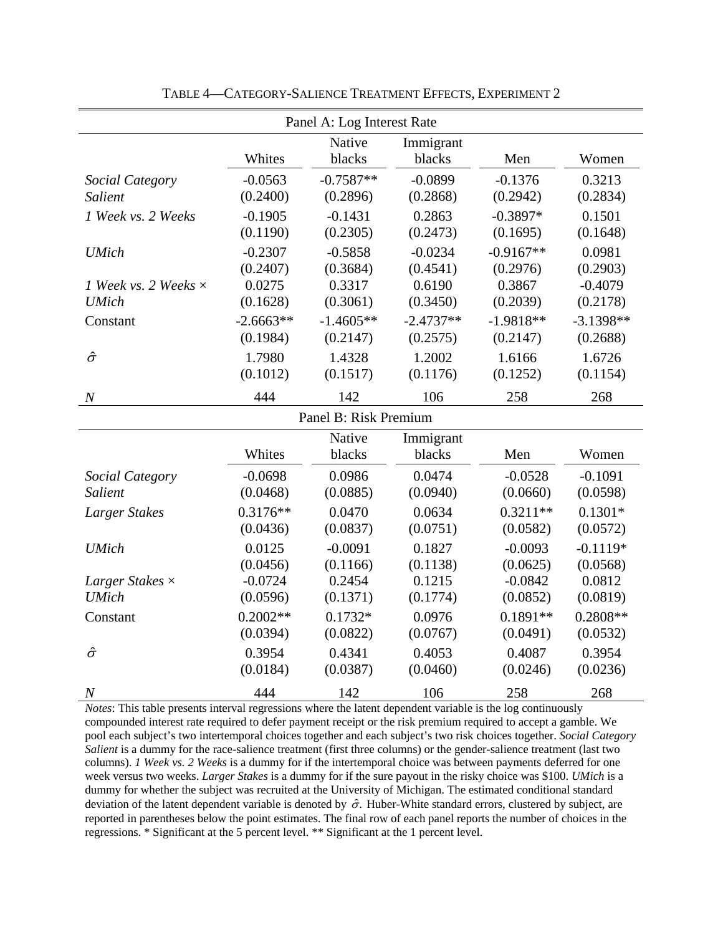| Panel A: Log Interest Rate  |                     |             |             |             |             |  |
|-----------------------------|---------------------|-------------|-------------|-------------|-------------|--|
|                             |                     | Native      | Immigrant   |             |             |  |
|                             | Whites              | blacks      | blacks      | Men         | Women       |  |
| Social Category             | $-0.0563$           | $-0.7587**$ | $-0.0899$   | $-0.1376$   | 0.3213      |  |
| Salient                     | (0.2400)            | (0.2896)    | (0.2868)    | (0.2942)    | (0.2834)    |  |
| 1 Week vs. 2 Weeks          | $-0.1905$           | $-0.1431$   | 0.2863      | $-0.3897*$  | 0.1501      |  |
|                             | (0.1190)            | (0.2305)    | (0.2473)    | (0.1695)    | (0.1648)    |  |
| <b>UMich</b>                | $-0.2307$           | $-0.5858$   | $-0.0234$   | $-0.9167**$ | 0.0981      |  |
|                             | (0.2407)            | (0.3684)    | (0.4541)    | (0.2976)    | (0.2903)    |  |
| 1 Week vs. 2 Weeks $\times$ | 0.0275              | 0.3317      | 0.6190      | 0.3867      | $-0.4079$   |  |
| <b>UMich</b>                | (0.1628)            | (0.3061)    | (0.3450)    | (0.2039)    | (0.2178)    |  |
| Constant                    | $-2.6663**$         | $-1.4605**$ | $-2.4737**$ | $-1.9818**$ | $-3.1398**$ |  |
|                             | (0.1984)            | (0.2147)    | (0.2575)    | (0.2147)    | (0.2688)    |  |
| $\hat{\sigma}$              | 1.7980              | 1.4328      | 1.2002      | 1.6166      | 1.6726      |  |
|                             | (0.1012)            | (0.1517)    | (0.1176)    | (0.1252)    | (0.1154)    |  |
| $\overline{N}$              | 444                 | 142         | 106         | 258         | 268         |  |
| Panel B: Risk Premium       |                     |             |             |             |             |  |
|                             | Native<br>Immigrant |             |             |             |             |  |
|                             | Whites              | blacks      | blacks      | Men         | Women       |  |
| Social Category             | $-0.0698$           | 0.0986      | 0.0474      | $-0.0528$   | $-0.1091$   |  |
| Salient                     | (0.0468)            | (0.0885)    | (0.0940)    | (0.0660)    | (0.0598)    |  |
| Larger Stakes               | $0.3176**$          | 0.0470      | 0.0634      | $0.3211**$  | $0.1301*$   |  |
|                             | (0.0436)            | (0.0837)    | (0.0751)    | (0.0582)    | (0.0572)    |  |
| <b>UMich</b>                | 0.0125              | $-0.0091$   | 0.1827      | $-0.0093$   | $-0.1119*$  |  |
|                             | (0.0456)            | (0.1166)    | (0.1138)    | (0.0625)    | (0.0568)    |  |
| Larger Stakes $\times$      | $-0.0724$           | 0.2454      | 0.1215      | $-0.0842$   | 0.0812      |  |
| <b>UMich</b>                | (0.0596)            | (0.1371)    | (0.1774)    | (0.0852)    | (0.0819)    |  |
| Constant                    | $0.2002**$          | $0.1732*$   | 0.0976      | $0.1891**$  | $0.2808**$  |  |
|                             | (0.0394)            | (0.0822)    | (0.0767)    | (0.0491)    | (0.0532)    |  |
| $\hat{\sigma}$              | 0.3954              | 0.4341      | 0.4053      | 0.4087      | 0.3954      |  |
|                             | (0.0184)            | (0.0387)    | (0.0460)    | (0.0246)    | (0.0236)    |  |
| $\boldsymbol{N}$            | 444                 | 142         | 106         | 258         | 268         |  |

TABLE 4—CATEGORY-SALIENCE TREATMENT EFFECTS, EXPERIMENT 2

*Notes*: This table presents interval regressions where the latent dependent variable is the log continuously compounded interest rate required to defer payment receipt or the risk premium required to accept a gamble. We pool each subject's two intertemporal choices together and each subject's two risk choices together. *Social Category Salient* is a dummy for the race-salience treatment (first three columns) or the gender-salience treatment (last two columns). *1 Week vs. 2 Weeks* is a dummy for if the intertemporal choice was between payments deferred for one week versus two weeks. *Larger Stakes* is a dummy for if the sure payout in the risky choice was \$100. *UMich* is a dummy for whether the subject was recruited at the University of Michigan. The estimated conditional standard deviation of the latent dependent variable is denoted by  $\hat{\sigma}$ . Huber-White standard errors, clustered by subject, are reported in parentheses below the point estimates. The final row of each panel reports the number of choices in the regressions. \* Significant at the 5 percent level. \*\* Significant at the 1 percent level.